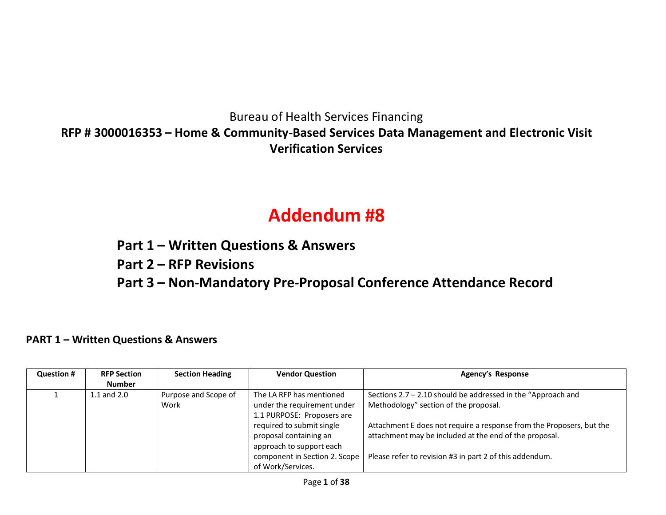Bureau of Health Services Financing **RFP # 3000016353 – Home & Community-Based Services Data Management and Electronic Visit Verification Services**

# **Addendum #8**

**Part 1 – Written Questions & Answers**

**Part 2 – RFP Revisions**

**Part 3 – Non-Mandatory Pre-Proposal Conference Attendance Record**

#### **PART 1 – Written Questions & Answers**

| <b>Question #</b> | <b>RFP Section</b><br><b>Number</b> | <b>Section Heading</b>       | <b>Vendor Question</b>                                                                                                                                                                                                         | Agency's Response                                                                                                                                                                                                                                                                                    |
|-------------------|-------------------------------------|------------------------------|--------------------------------------------------------------------------------------------------------------------------------------------------------------------------------------------------------------------------------|------------------------------------------------------------------------------------------------------------------------------------------------------------------------------------------------------------------------------------------------------------------------------------------------------|
|                   | $1.1$ and $2.0$                     | Purpose and Scope of<br>Work | The LA RFP has mentioned<br>under the requirement under<br>1.1 PURPOSE: Proposers are<br>required to submit single<br>proposal containing an<br>approach to support each<br>component in Section 2. Scope<br>of Work/Services. | Sections $2.7 - 2.10$ should be addressed in the "Approach and<br>Methodology" section of the proposal.<br>Attachment E does not require a response from the Proposers, but the<br>attachment may be included at the end of the proposal.<br>Please refer to revision #3 in part 2 of this addendum. |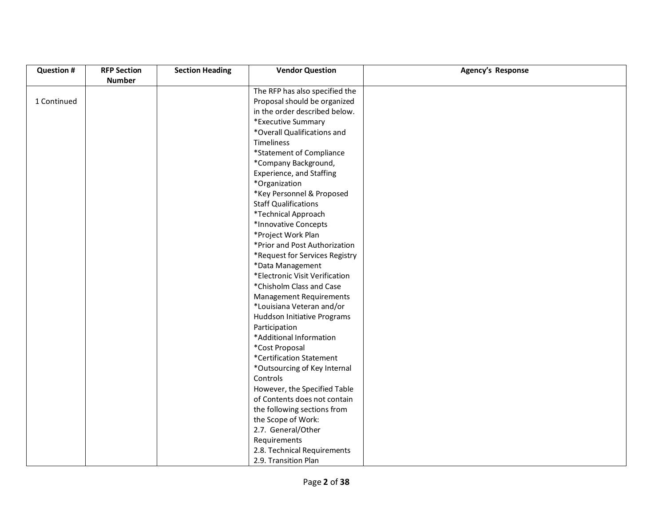| <b>Question #</b> | <b>RFP Section</b> | <b>Section Heading</b> | <b>Vendor Question</b>          | <b>Agency's Response</b> |
|-------------------|--------------------|------------------------|---------------------------------|--------------------------|
|                   | <b>Number</b>      |                        |                                 |                          |
|                   |                    |                        | The RFP has also specified the  |                          |
| 1 Continued       |                    |                        | Proposal should be organized    |                          |
|                   |                    |                        | in the order described below.   |                          |
|                   |                    |                        | *Executive Summary              |                          |
|                   |                    |                        | *Overall Qualifications and     |                          |
|                   |                    |                        | <b>Timeliness</b>               |                          |
|                   |                    |                        | *Statement of Compliance        |                          |
|                   |                    |                        | *Company Background,            |                          |
|                   |                    |                        | <b>Experience, and Staffing</b> |                          |
|                   |                    |                        | *Organization                   |                          |
|                   |                    |                        | *Key Personnel & Proposed       |                          |
|                   |                    |                        | <b>Staff Qualifications</b>     |                          |
|                   |                    |                        | *Technical Approach             |                          |
|                   |                    |                        | *Innovative Concepts            |                          |
|                   |                    |                        | *Project Work Plan              |                          |
|                   |                    |                        | *Prior and Post Authorization   |                          |
|                   |                    |                        | *Request for Services Registry  |                          |
|                   |                    |                        | *Data Management                |                          |
|                   |                    |                        | *Electronic Visit Verification  |                          |
|                   |                    |                        | *Chisholm Class and Case        |                          |
|                   |                    |                        | <b>Management Requirements</b>  |                          |
|                   |                    |                        | *Louisiana Veteran and/or       |                          |
|                   |                    |                        | Huddson Initiative Programs     |                          |
|                   |                    |                        | Participation                   |                          |
|                   |                    |                        | *Additional Information         |                          |
|                   |                    |                        | *Cost Proposal                  |                          |
|                   |                    |                        | *Certification Statement        |                          |
|                   |                    |                        | *Outsourcing of Key Internal    |                          |
|                   |                    |                        | Controls                        |                          |
|                   |                    |                        | However, the Specified Table    |                          |
|                   |                    |                        | of Contents does not contain    |                          |
|                   |                    |                        | the following sections from     |                          |
|                   |                    |                        | the Scope of Work:              |                          |
|                   |                    |                        | 2.7. General/Other              |                          |
|                   |                    |                        | Requirements                    |                          |
|                   |                    |                        | 2.8. Technical Requirements     |                          |
|                   |                    |                        | 2.9. Transition Plan            |                          |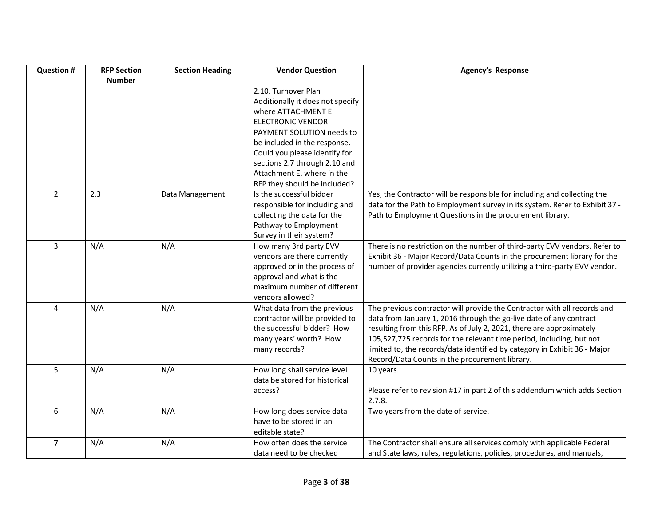| <b>Question #</b> | <b>RFP Section</b> | <b>Section Heading</b> | <b>Vendor Question</b>                                                                                                                                                | <b>Agency's Response</b>                                                                                                                                                                                                                                                                                                                                                                                                      |
|-------------------|--------------------|------------------------|-----------------------------------------------------------------------------------------------------------------------------------------------------------------------|-------------------------------------------------------------------------------------------------------------------------------------------------------------------------------------------------------------------------------------------------------------------------------------------------------------------------------------------------------------------------------------------------------------------------------|
|                   | <b>Number</b>      |                        | 2.10. Turnover Plan<br>Additionally it does not specify<br>where ATTACHMENT E:<br><b>ELECTRONIC VENDOR</b><br>PAYMENT SOLUTION needs to                               |                                                                                                                                                                                                                                                                                                                                                                                                                               |
|                   |                    |                        | be included in the response.<br>Could you please identify for<br>sections 2.7 through 2.10 and<br>Attachment E, where in the<br>RFP they should be included?          |                                                                                                                                                                                                                                                                                                                                                                                                                               |
| $\overline{2}$    | 2.3                | Data Management        | Is the successful bidder<br>responsible for including and<br>collecting the data for the<br>Pathway to Employment<br>Survey in their system?                          | Yes, the Contractor will be responsible for including and collecting the<br>data for the Path to Employment survey in its system. Refer to Exhibit 37 -<br>Path to Employment Questions in the procurement library.                                                                                                                                                                                                           |
| 3                 | N/A                | N/A                    | How many 3rd party EVV<br>vendors are there currently<br>approved or in the process of<br>approval and what is the<br>maximum number of different<br>vendors allowed? | There is no restriction on the number of third-party EVV vendors. Refer to<br>Exhibit 36 - Major Record/Data Counts in the procurement library for the<br>number of provider agencies currently utilizing a third-party EVV vendor.                                                                                                                                                                                           |
| 4                 | N/A                | N/A                    | What data from the previous<br>contractor will be provided to<br>the successful bidder? How<br>many years' worth? How<br>many records?                                | The previous contractor will provide the Contractor with all records and<br>data from January 1, 2016 through the go-live date of any contract<br>resulting from this RFP. As of July 2, 2021, there are approximately<br>105,527,725 records for the relevant time period, including, but not<br>limited to, the records/data identified by category in Exhibit 36 - Major<br>Record/Data Counts in the procurement library. |
| 5                 | N/A                | N/A                    | How long shall service level<br>data be stored for historical<br>access?                                                                                              | 10 years.<br>Please refer to revision #17 in part 2 of this addendum which adds Section<br>2.7.8.                                                                                                                                                                                                                                                                                                                             |
| 6                 | N/A                | N/A                    | How long does service data<br>have to be stored in an<br>editable state?                                                                                              | Two years from the date of service.                                                                                                                                                                                                                                                                                                                                                                                           |
| $\overline{7}$    | N/A                | N/A                    | How often does the service<br>data need to be checked                                                                                                                 | The Contractor shall ensure all services comply with applicable Federal<br>and State laws, rules, regulations, policies, procedures, and manuals,                                                                                                                                                                                                                                                                             |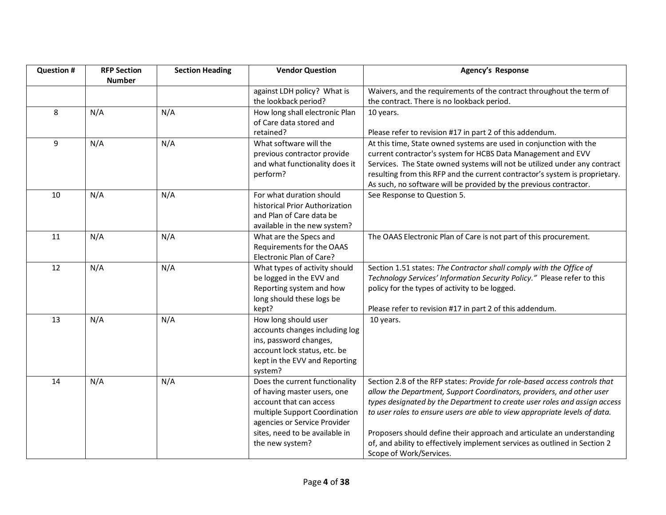| <b>Question #</b> | <b>RFP Section</b> | <b>Section Heading</b> | <b>Vendor Question</b>                                        | <b>Agency's Response</b>                                                                                                                           |
|-------------------|--------------------|------------------------|---------------------------------------------------------------|----------------------------------------------------------------------------------------------------------------------------------------------------|
|                   | <b>Number</b>      |                        |                                                               |                                                                                                                                                    |
|                   |                    |                        | against LDH policy? What is                                   | Waivers, and the requirements of the contract throughout the term of                                                                               |
|                   |                    |                        | the lookback period?                                          | the contract. There is no lookback period.                                                                                                         |
| 8                 | N/A                | N/A                    | How long shall electronic Plan                                | 10 years.                                                                                                                                          |
|                   |                    |                        | of Care data stored and                                       |                                                                                                                                                    |
|                   |                    |                        | retained?                                                     | Please refer to revision #17 in part 2 of this addendum.                                                                                           |
| 9                 | N/A                | N/A                    | What software will the                                        | At this time, State owned systems are used in conjunction with the                                                                                 |
|                   |                    |                        | previous contractor provide                                   | current contractor's system for HCBS Data Management and EVV                                                                                       |
|                   |                    |                        | and what functionality does it                                | Services. The State owned systems will not be utilized under any contract                                                                          |
|                   |                    |                        | perform?                                                      | resulting from this RFP and the current contractor's system is proprietary.                                                                        |
|                   |                    |                        |                                                               | As such, no software will be provided by the previous contractor.                                                                                  |
| 10                | N/A                | N/A                    | For what duration should                                      | See Response to Question 5.                                                                                                                        |
|                   |                    |                        | historical Prior Authorization                                |                                                                                                                                                    |
|                   |                    |                        | and Plan of Care data be                                      |                                                                                                                                                    |
|                   |                    |                        | available in the new system?                                  |                                                                                                                                                    |
| 11                | N/A                | N/A                    | What are the Specs and                                        | The OAAS Electronic Plan of Care is not part of this procurement.                                                                                  |
|                   |                    |                        | Requirements for the OAAS                                     |                                                                                                                                                    |
|                   |                    |                        | Electronic Plan of Care?                                      |                                                                                                                                                    |
| 12                | N/A                | N/A                    | What types of activity should                                 | Section 1.51 states: The Contractor shall comply with the Office of                                                                                |
|                   |                    |                        | be logged in the EVV and                                      | Technology Services' Information Security Policy." Please refer to this                                                                            |
|                   |                    |                        | Reporting system and how                                      | policy for the types of activity to be logged.                                                                                                     |
|                   |                    |                        | long should these logs be                                     |                                                                                                                                                    |
|                   |                    |                        | kept?                                                         | Please refer to revision #17 in part 2 of this addendum.                                                                                           |
| 13                | N/A                | N/A                    | How long should user                                          | 10 years.                                                                                                                                          |
|                   |                    |                        | accounts changes including log                                |                                                                                                                                                    |
|                   |                    |                        | ins, password changes,                                        |                                                                                                                                                    |
|                   |                    |                        | account lock status, etc. be                                  |                                                                                                                                                    |
|                   |                    |                        | kept in the EVV and Reporting                                 |                                                                                                                                                    |
|                   |                    |                        | system?                                                       |                                                                                                                                                    |
| 14                | N/A                | N/A                    | Does the current functionality<br>of having master users, one | Section 2.8 of the RFP states: Provide for role-based access controls that                                                                         |
|                   |                    |                        | account that can access                                       | allow the Department, Support Coordinators, providers, and other user<br>types designated by the Department to create user roles and assign access |
|                   |                    |                        |                                                               |                                                                                                                                                    |
|                   |                    |                        | multiple Support Coordination<br>agencies or Service Provider | to user roles to ensure users are able to view appropriate levels of data.                                                                         |
|                   |                    |                        | sites, need to be available in                                | Proposers should define their approach and articulate an understanding                                                                             |
|                   |                    |                        |                                                               | of, and ability to effectively implement services as outlined in Section 2                                                                         |
|                   |                    |                        | the new system?                                               |                                                                                                                                                    |
|                   |                    |                        |                                                               | Scope of Work/Services.                                                                                                                            |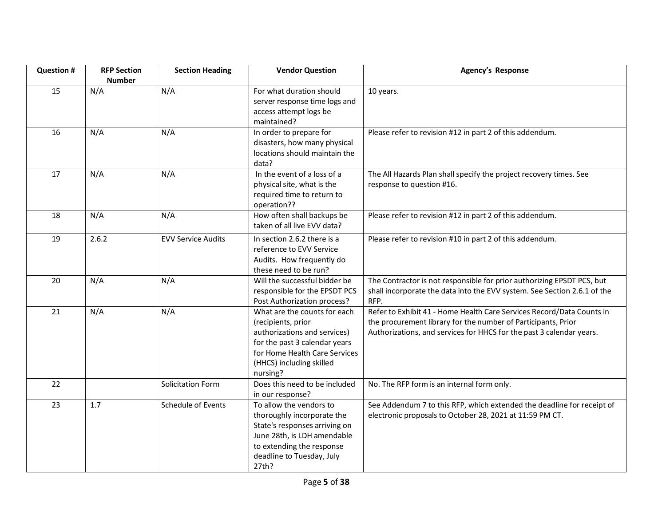| <b>Question #</b> | <b>RFP Section</b><br><b>Number</b> | <b>Section Heading</b>    | <b>Vendor Question</b>                                                                                                                                                                       | Agency's Response                                                                                                                                                                                              |
|-------------------|-------------------------------------|---------------------------|----------------------------------------------------------------------------------------------------------------------------------------------------------------------------------------------|----------------------------------------------------------------------------------------------------------------------------------------------------------------------------------------------------------------|
| 15                | N/A                                 | N/A                       | For what duration should<br>server response time logs and<br>access attempt logs be<br>maintained?                                                                                           | 10 years.                                                                                                                                                                                                      |
| 16                | N/A                                 | N/A                       | In order to prepare for<br>disasters, how many physical<br>locations should maintain the<br>data?                                                                                            | Please refer to revision #12 in part 2 of this addendum.                                                                                                                                                       |
| 17                | N/A                                 | N/A                       | In the event of a loss of a<br>physical site, what is the<br>required time to return to<br>operation??                                                                                       | The All Hazards Plan shall specify the project recovery times. See<br>response to question #16.                                                                                                                |
| 18                | N/A                                 | N/A                       | How often shall backups be<br>taken of all live EVV data?                                                                                                                                    | Please refer to revision #12 in part 2 of this addendum.                                                                                                                                                       |
| 19                | 2.6.2                               | <b>EVV Service Audits</b> | In section 2.6.2 there is a<br>reference to EVV Service<br>Audits. How frequently do<br>these need to be run?                                                                                | Please refer to revision #10 in part 2 of this addendum.                                                                                                                                                       |
| 20                | N/A                                 | N/A                       | Will the successful bidder be<br>responsible for the EPSDT PCS<br>Post Authorization process?                                                                                                | The Contractor is not responsible for prior authorizing EPSDT PCS, but<br>shall incorporate the data into the EVV system. See Section 2.6.1 of the<br>RFP.                                                     |
| 21                | N/A                                 | N/A                       | What are the counts for each<br>(recipients, prior<br>authorizations and services)<br>for the past 3 calendar years<br>for Home Health Care Services<br>(HHCS) including skilled<br>nursing? | Refer to Exhibit 41 - Home Health Care Services Record/Data Counts in<br>the procurement library for the number of Participants, Prior<br>Authorizations, and services for HHCS for the past 3 calendar years. |
| 22                |                                     | Solicitation Form         | Does this need to be included<br>in our response?                                                                                                                                            | No. The RFP form is an internal form only.                                                                                                                                                                     |
| 23                | 1.7                                 | Schedule of Events        | To allow the vendors to<br>thoroughly incorporate the<br>State's responses arriving on<br>June 28th, is LDH amendable<br>to extending the response<br>deadline to Tuesday, July<br>27th?     | See Addendum 7 to this RFP, which extended the deadline for receipt of<br>electronic proposals to October 28, 2021 at 11:59 PM CT.                                                                             |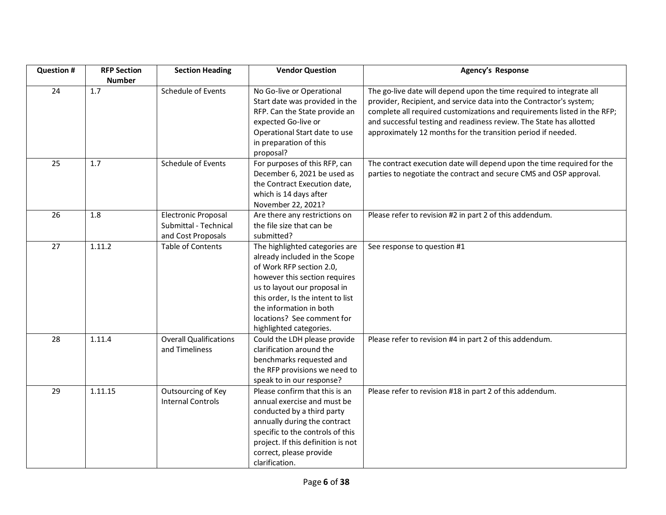| <b>Question #</b> | <b>RFP Section</b> | <b>Section Heading</b>        | <b>Vendor Question</b>                       | <b>Agency's Response</b>                                                 |
|-------------------|--------------------|-------------------------------|----------------------------------------------|--------------------------------------------------------------------------|
|                   | <b>Number</b>      |                               |                                              |                                                                          |
| 24                | 1.7                | Schedule of Events            | No Go-live or Operational                    | The go-live date will depend upon the time required to integrate all     |
|                   |                    |                               | Start date was provided in the               | provider, Recipient, and service data into the Contractor's system;      |
|                   |                    |                               | RFP. Can the State provide an                | complete all required customizations and requirements listed in the RFP; |
|                   |                    |                               | expected Go-live or                          | and successful testing and readiness review. The State has allotted      |
|                   |                    |                               | Operational Start date to use                | approximately 12 months for the transition period if needed.             |
|                   |                    |                               | in preparation of this                       |                                                                          |
| 25                |                    | Schedule of Events            | proposal?                                    |                                                                          |
|                   | 1.7                |                               | For purposes of this RFP, can                | The contract execution date will depend upon the time required for the   |
|                   |                    |                               | December 6, 2021 be used as                  | parties to negotiate the contract and secure CMS and OSP approval.       |
|                   |                    |                               | the Contract Execution date,                 |                                                                          |
|                   |                    |                               | which is 14 days after<br>November 22, 2021? |                                                                          |
| 26                | 1.8                | <b>Electronic Proposal</b>    | Are there any restrictions on                | Please refer to revision #2 in part 2 of this addendum.                  |
|                   |                    | Submittal - Technical         | the file size that can be                    |                                                                          |
|                   |                    | and Cost Proposals            | submitted?                                   |                                                                          |
| 27                | 1.11.2             | <b>Table of Contents</b>      | The highlighted categories are               | See response to question #1                                              |
|                   |                    |                               | already included in the Scope                |                                                                          |
|                   |                    |                               | of Work RFP section 2.0,                     |                                                                          |
|                   |                    |                               | however this section requires                |                                                                          |
|                   |                    |                               | us to layout our proposal in                 |                                                                          |
|                   |                    |                               | this order, Is the intent to list            |                                                                          |
|                   |                    |                               | the information in both                      |                                                                          |
|                   |                    |                               | locations? See comment for                   |                                                                          |
|                   |                    |                               | highlighted categories.                      |                                                                          |
| 28                | 1.11.4             | <b>Overall Qualifications</b> | Could the LDH please provide                 | Please refer to revision #4 in part 2 of this addendum.                  |
|                   |                    | and Timeliness                | clarification around the                     |                                                                          |
|                   |                    |                               | benchmarks requested and                     |                                                                          |
|                   |                    |                               | the RFP provisions we need to                |                                                                          |
|                   |                    |                               | speak to in our response?                    |                                                                          |
| 29                | 1.11.15            | Outsourcing of Key            | Please confirm that this is an               | Please refer to revision #18 in part 2 of this addendum.                 |
|                   |                    | <b>Internal Controls</b>      | annual exercise and must be                  |                                                                          |
|                   |                    |                               | conducted by a third party                   |                                                                          |
|                   |                    |                               | annually during the contract                 |                                                                          |
|                   |                    |                               | specific to the controls of this             |                                                                          |
|                   |                    |                               | project. If this definition is not           |                                                                          |
|                   |                    |                               | correct, please provide                      |                                                                          |
|                   |                    |                               | clarification.                               |                                                                          |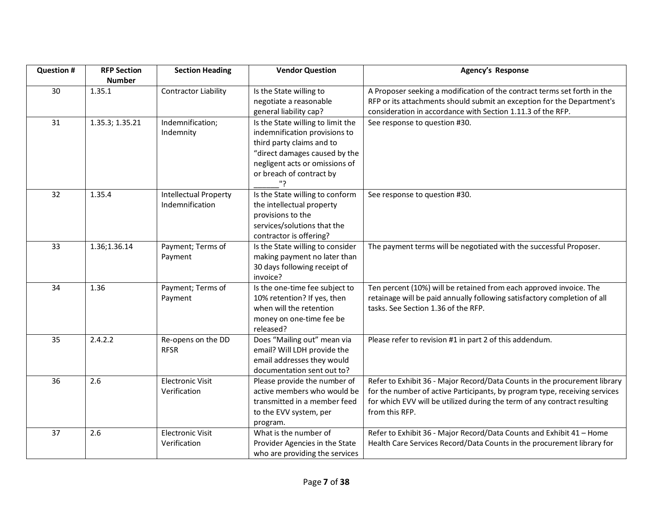| <b>Question #</b> | <b>RFP Section</b>      | <b>Section Heading</b>                          | <b>Vendor Question</b>                                                                                                                                                                               | Agency's Response                                                                                                                                                                                                                                     |
|-------------------|-------------------------|-------------------------------------------------|------------------------------------------------------------------------------------------------------------------------------------------------------------------------------------------------------|-------------------------------------------------------------------------------------------------------------------------------------------------------------------------------------------------------------------------------------------------------|
| 30                | <b>Number</b><br>1.35.1 | <b>Contractor Liability</b>                     | Is the State willing to<br>negotiate a reasonable<br>general liability cap?                                                                                                                          | A Proposer seeking a modification of the contract terms set forth in the<br>RFP or its attachments should submit an exception for the Department's<br>consideration in accordance with Section 1.11.3 of the RFP.                                     |
| 31                | 1.35.3; 1.35.21         | Indemnification;<br>Indemnity                   | Is the State willing to limit the<br>indemnification provisions to<br>third party claims and to<br>"direct damages caused by the<br>negligent acts or omissions of<br>or breach of contract by<br>?" | See response to question #30.                                                                                                                                                                                                                         |
| 32                | 1.35.4                  | <b>Intellectual Property</b><br>Indemnification | Is the State willing to conform<br>the intellectual property<br>provisions to the<br>services/solutions that the<br>contractor is offering?                                                          | See response to question #30.                                                                                                                                                                                                                         |
| 33                | 1.36;1.36.14            | Payment; Terms of<br>Payment                    | Is the State willing to consider<br>making payment no later than<br>30 days following receipt of<br>invoice?                                                                                         | The payment terms will be negotiated with the successful Proposer.                                                                                                                                                                                    |
| 34                | 1.36                    | Payment; Terms of<br>Payment                    | Is the one-time fee subject to<br>10% retention? If yes, then<br>when will the retention<br>money on one-time fee be<br>released?                                                                    | Ten percent (10%) will be retained from each approved invoice. The<br>retainage will be paid annually following satisfactory completion of all<br>tasks. See Section 1.36 of the RFP.                                                                 |
| 35                | 2.4.2.2                 | Re-opens on the DD<br><b>RFSR</b>               | Does "Mailing out" mean via<br>email? Will LDH provide the<br>email addresses they would<br>documentation sent out to?                                                                               | Please refer to revision #1 in part 2 of this addendum.                                                                                                                                                                                               |
| 36                | 2.6                     | <b>Electronic Visit</b><br>Verification         | Please provide the number of<br>active members who would be<br>transmitted in a member feed<br>to the EVV system, per<br>program.                                                                    | Refer to Exhibit 36 - Major Record/Data Counts in the procurement library<br>for the number of active Participants, by program type, receiving services<br>for which EVV will be utilized during the term of any contract resulting<br>from this RFP. |
| 37                | 2.6                     | <b>Electronic Visit</b><br>Verification         | What is the number of<br>Provider Agencies in the State<br>who are providing the services                                                                                                            | Refer to Exhibit 36 - Major Record/Data Counts and Exhibit 41 - Home<br>Health Care Services Record/Data Counts in the procurement library for                                                                                                        |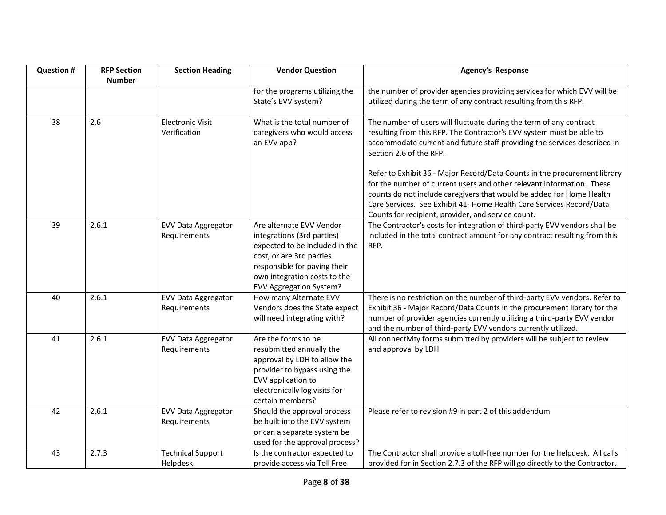| <b>Question #</b> | <b>RFP Section</b> | <b>Section Heading</b>                     | <b>Vendor Question</b>                                                                                                                                                                                                 | <b>Agency's Response</b>                                                                                                                                                                                                                                                                                                                                 |
|-------------------|--------------------|--------------------------------------------|------------------------------------------------------------------------------------------------------------------------------------------------------------------------------------------------------------------------|----------------------------------------------------------------------------------------------------------------------------------------------------------------------------------------------------------------------------------------------------------------------------------------------------------------------------------------------------------|
|                   | <b>Number</b>      |                                            | for the programs utilizing the<br>State's EVV system?                                                                                                                                                                  | the number of provider agencies providing services for which EVV will be<br>utilized during the term of any contract resulting from this RFP.                                                                                                                                                                                                            |
| 38                | 2.6                | <b>Electronic Visit</b><br>Verification    | What is the total number of<br>caregivers who would access<br>an EVV app?                                                                                                                                              | The number of users will fluctuate during the term of any contract<br>resulting from this RFP. The Contractor's EVV system must be able to<br>accommodate current and future staff providing the services described in<br>Section 2.6 of the RFP.                                                                                                        |
|                   |                    |                                            |                                                                                                                                                                                                                        | Refer to Exhibit 36 - Major Record/Data Counts in the procurement library<br>for the number of current users and other relevant information. These<br>counts do not include caregivers that would be added for Home Health<br>Care Services. See Exhibit 41- Home Health Care Services Record/Data<br>Counts for recipient, provider, and service count. |
| 39                | 2.6.1              | <b>EVV Data Aggregator</b><br>Requirements | Are alternate EVV Vendor<br>integrations (3rd parties)<br>expected to be included in the<br>cost, or are 3rd parties<br>responsible for paying their<br>own integration costs to the<br><b>EVV Aggregation System?</b> | The Contractor's costs for integration of third-party EVV vendors shall be<br>included in the total contract amount for any contract resulting from this<br>RFP.                                                                                                                                                                                         |
| 40                | 2.6.1              | <b>EVV Data Aggregator</b><br>Requirements | How many Alternate EVV<br>Vendors does the State expect<br>will need integrating with?                                                                                                                                 | There is no restriction on the number of third-party EVV vendors. Refer to<br>Exhibit 36 - Major Record/Data Counts in the procurement library for the<br>number of provider agencies currently utilizing a third-party EVV vendor<br>and the number of third-party EVV vendors currently utilized.                                                      |
| 41                | 2.6.1              | <b>EVV Data Aggregator</b><br>Requirements | Are the forms to be<br>resubmitted annually the<br>approval by LDH to allow the<br>provider to bypass using the<br>EVV application to<br>electronically log visits for<br>certain members?                             | All connectivity forms submitted by providers will be subject to review<br>and approval by LDH.                                                                                                                                                                                                                                                          |
| 42                | 2.6.1              | <b>EVV Data Aggregator</b><br>Requirements | Should the approval process<br>be built into the EVV system<br>or can a separate system be<br>used for the approval process?                                                                                           | Please refer to revision #9 in part 2 of this addendum                                                                                                                                                                                                                                                                                                   |
| 43                | 2.7.3              | <b>Technical Support</b><br>Helpdesk       | Is the contractor expected to<br>provide access via Toll Free                                                                                                                                                          | The Contractor shall provide a toll-free number for the helpdesk. All calls<br>provided for in Section 2.7.3 of the RFP will go directly to the Contractor.                                                                                                                                                                                              |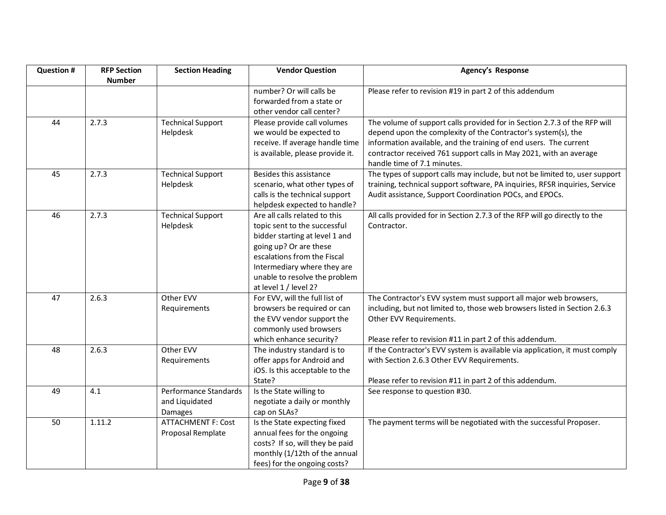| <b>Question #</b> | <b>RFP Section</b> | <b>Section Heading</b>    | <b>Vendor Question</b>                                        | <b>Agency's Response</b>                                                    |
|-------------------|--------------------|---------------------------|---------------------------------------------------------------|-----------------------------------------------------------------------------|
|                   | <b>Number</b>      |                           | number? Or will calls be                                      | Please refer to revision #19 in part 2 of this addendum                     |
|                   |                    |                           | forwarded from a state or                                     |                                                                             |
|                   |                    |                           | other vendor call center?                                     |                                                                             |
| 44                | 2.7.3              | <b>Technical Support</b>  | Please provide call volumes                                   | The volume of support calls provided for in Section 2.7.3 of the RFP will   |
|                   |                    | Helpdesk                  | we would be expected to                                       | depend upon the complexity of the Contractor's system(s), the               |
|                   |                    |                           | receive. If average handle time                               | information available, and the training of end users. The current           |
|                   |                    |                           | is available, please provide it.                              | contractor received 761 support calls in May 2021, with an average          |
|                   |                    |                           |                                                               | handle time of 7.1 minutes.                                                 |
| 45                | 2.7.3              | <b>Technical Support</b>  | Besides this assistance                                       | The types of support calls may include, but not be limited to, user support |
|                   |                    | Helpdesk                  | scenario, what other types of                                 | training, technical support software, PA inquiries, RFSR inquiries, Service |
|                   |                    |                           | calls is the technical support                                | Audit assistance, Support Coordination POCs, and EPOCs.                     |
| 46                | 2.7.3              | <b>Technical Support</b>  | helpdesk expected to handle?<br>Are all calls related to this | All calls provided for in Section 2.7.3 of the RFP will go directly to the  |
|                   |                    | Helpdesk                  | topic sent to the successful                                  | Contractor.                                                                 |
|                   |                    |                           | bidder starting at level 1 and                                |                                                                             |
|                   |                    |                           | going up? Or are these                                        |                                                                             |
|                   |                    |                           | escalations from the Fiscal                                   |                                                                             |
|                   |                    |                           | Intermediary where they are                                   |                                                                             |
|                   |                    |                           | unable to resolve the problem                                 |                                                                             |
|                   |                    |                           | at level 1 / level 2?                                         |                                                                             |
| 47                | 2.6.3              | Other EVV                 | For EVV, will the full list of                                | The Contractor's EVV system must support all major web browsers,            |
|                   |                    | Requirements              | browsers be required or can                                   | including, but not limited to, those web browsers listed in Section 2.6.3   |
|                   |                    |                           | the EVV vendor support the                                    | Other EVV Requirements.                                                     |
|                   |                    |                           | commonly used browsers                                        |                                                                             |
|                   |                    |                           | which enhance security?                                       | Please refer to revision #11 in part 2 of this addendum.                    |
| 48                | 2.6.3              | Other EVV                 | The industry standard is to                                   | If the Contractor's EVV system is available via application, it must comply |
|                   |                    | Requirements              | offer apps for Android and                                    | with Section 2.6.3 Other EVV Requirements.                                  |
|                   |                    |                           | iOS. Is this acceptable to the                                |                                                                             |
| 49                | 4.1                | Performance Standards     | State?<br>Is the State willing to                             | Please refer to revision #11 in part 2 of this addendum.                    |
|                   |                    | and Liquidated            | negotiate a daily or monthly                                  | See response to question #30.                                               |
|                   |                    | Damages                   | cap on SLAs?                                                  |                                                                             |
| 50                | 1.11.2             | <b>ATTACHMENT F: Cost</b> | Is the State expecting fixed                                  | The payment terms will be negotiated with the successful Proposer.          |
|                   |                    | Proposal Remplate         | annual fees for the ongoing                                   |                                                                             |
|                   |                    |                           | costs? If so, will they be paid                               |                                                                             |
|                   |                    |                           | monthly (1/12th of the annual                                 |                                                                             |
|                   |                    |                           | fees) for the ongoing costs?                                  |                                                                             |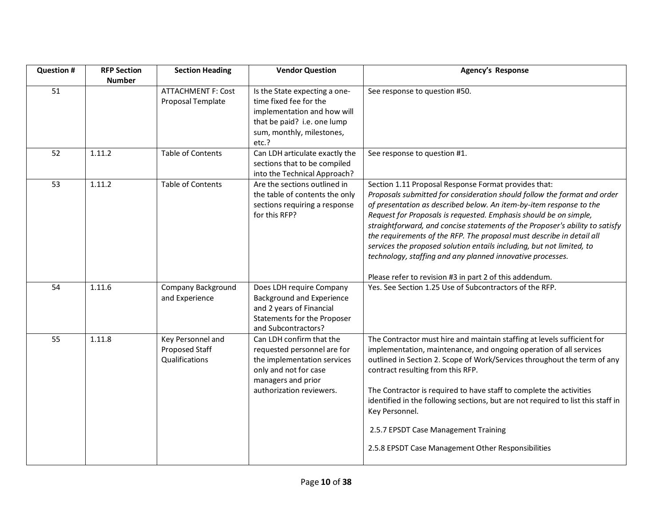| <b>Question #</b> | <b>RFP Section</b><br><b>Number</b> | <b>Section Heading</b>                                | <b>Vendor Question</b>                                                                                                                                            | Agency's Response                                                                                                                                                                                                                                                                                                                                                                                                                                                                                                                                                                                                                       |
|-------------------|-------------------------------------|-------------------------------------------------------|-------------------------------------------------------------------------------------------------------------------------------------------------------------------|-----------------------------------------------------------------------------------------------------------------------------------------------------------------------------------------------------------------------------------------------------------------------------------------------------------------------------------------------------------------------------------------------------------------------------------------------------------------------------------------------------------------------------------------------------------------------------------------------------------------------------------------|
| 51                |                                     | <b>ATTACHMENT F: Cost</b><br>Proposal Template        | Is the State expecting a one-<br>time fixed fee for the<br>implementation and how will<br>that be paid? i.e. one lump<br>sum, monthly, milestones,<br>etc.?       | See response to question #50.                                                                                                                                                                                                                                                                                                                                                                                                                                                                                                                                                                                                           |
| 52                | 1.11.2                              | <b>Table of Contents</b>                              | Can LDH articulate exactly the<br>sections that to be compiled<br>into the Technical Approach?                                                                    | See response to question #1.                                                                                                                                                                                                                                                                                                                                                                                                                                                                                                                                                                                                            |
| 53                | 1.11.2                              | <b>Table of Contents</b>                              | Are the sections outlined in<br>the table of contents the only<br>sections requiring a response<br>for this RFP?                                                  | Section 1.11 Proposal Response Format provides that:<br>Proposals submitted for consideration should follow the format and order<br>of presentation as described below. An item-by-item response to the<br>Request for Proposals is requested. Emphasis should be on simple,<br>straightforward, and concise statements of the Proposer's ability to satisfy<br>the requirements of the RFP. The proposal must describe in detail all<br>services the proposed solution entails including, but not limited, to<br>technology, staffing and any planned innovative processes.<br>Please refer to revision #3 in part 2 of this addendum. |
| 54                | 1.11.6                              | Company Background<br>and Experience                  | Does LDH require Company<br>Background and Experience<br>and 2 years of Financial<br>Statements for the Proposer<br>and Subcontractors?                           | Yes. See Section 1.25 Use of Subcontractors of the RFP.                                                                                                                                                                                                                                                                                                                                                                                                                                                                                                                                                                                 |
| 55                | 1.11.8                              | Key Personnel and<br>Proposed Staff<br>Qualifications | Can LDH confirm that the<br>requested personnel are for<br>the implementation services<br>only and not for case<br>managers and prior<br>authorization reviewers. | The Contractor must hire and maintain staffing at levels sufficient for<br>implementation, maintenance, and ongoing operation of all services<br>outlined in Section 2. Scope of Work/Services throughout the term of any<br>contract resulting from this RFP.<br>The Contractor is required to have staff to complete the activities<br>identified in the following sections, but are not required to list this staff in<br>Key Personnel.<br>2.5.7 EPSDT Case Management Training<br>2.5.8 EPSDT Case Management Other Responsibilities                                                                                               |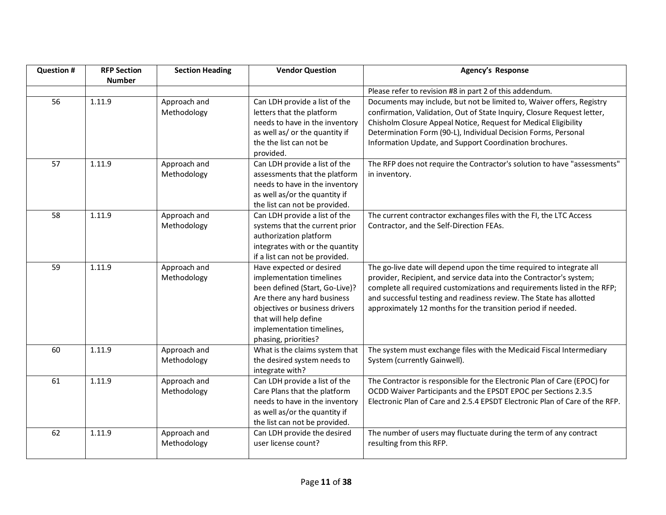| <b>Question #</b> | <b>RFP Section</b> | <b>Section Heading</b> | <b>Vendor Question</b>                                          | Agency's Response                                                           |
|-------------------|--------------------|------------------------|-----------------------------------------------------------------|-----------------------------------------------------------------------------|
|                   | <b>Number</b>      |                        |                                                                 |                                                                             |
|                   |                    |                        |                                                                 | Please refer to revision #8 in part 2 of this addendum.                     |
| 56                | 1.11.9             | Approach and           | Can LDH provide a list of the                                   | Documents may include, but not be limited to, Waiver offers, Registry       |
|                   |                    | Methodology            | letters that the platform                                       | confirmation, Validation, Out of State Inquiry, Closure Request letter,     |
|                   |                    |                        | needs to have in the inventory                                  | Chisholm Closure Appeal Notice, Request for Medical Eligibility             |
|                   |                    |                        | as well as/ or the quantity if                                  | Determination Form (90-L), Individual Decision Forms, Personal              |
|                   |                    |                        | the the list can not be                                         | Information Update, and Support Coordination brochures.                     |
|                   |                    |                        | provided.                                                       |                                                                             |
| 57                | 1.11.9             | Approach and           | Can LDH provide a list of the                                   | The RFP does not require the Contractor's solution to have "assessments"    |
|                   |                    | Methodology            | assessments that the platform                                   | in inventory.                                                               |
|                   |                    |                        | needs to have in the inventory<br>as well as/or the quantity if |                                                                             |
|                   |                    |                        | the list can not be provided.                                   |                                                                             |
| 58                | 1.11.9             | Approach and           | Can LDH provide a list of the                                   | The current contractor exchanges files with the FI, the LTC Access          |
|                   |                    | Methodology            | systems that the current prior                                  | Contractor, and the Self-Direction FEAs.                                    |
|                   |                    |                        | authorization platform                                          |                                                                             |
|                   |                    |                        | integrates with or the quantity                                 |                                                                             |
|                   |                    |                        | if a list can not be provided.                                  |                                                                             |
| 59                | 1.11.9             | Approach and           | Have expected or desired                                        | The go-live date will depend upon the time required to integrate all        |
|                   |                    | Methodology            | implementation timelines                                        | provider, Recipient, and service data into the Contractor's system;         |
|                   |                    |                        | been defined (Start, Go-Live)?                                  | complete all required customizations and requirements listed in the RFP;    |
|                   |                    |                        | Are there any hard business                                     | and successful testing and readiness review. The State has allotted         |
|                   |                    |                        | objectives or business drivers                                  | approximately 12 months for the transition period if needed.                |
|                   |                    |                        | that will help define                                           |                                                                             |
|                   |                    |                        | implementation timelines,                                       |                                                                             |
|                   |                    |                        | phasing, priorities?                                            |                                                                             |
| 60                | 1.11.9             | Approach and           | What is the claims system that                                  | The system must exchange files with the Medicaid Fiscal Intermediary        |
|                   |                    | Methodology            | the desired system needs to<br>integrate with?                  | System (currently Gainwell).                                                |
| 61                | 1.11.9             | Approach and           | Can LDH provide a list of the                                   | The Contractor is responsible for the Electronic Plan of Care (EPOC) for    |
|                   |                    | Methodology            | Care Plans that the platform                                    | OCDD Waiver Participants and the EPSDT EPOC per Sections 2.3.5              |
|                   |                    |                        | needs to have in the inventory                                  | Electronic Plan of Care and 2.5.4 EPSDT Electronic Plan of Care of the RFP. |
|                   |                    |                        | as well as/or the quantity if                                   |                                                                             |
|                   |                    |                        | the list can not be provided.                                   |                                                                             |
| 62                | 1.11.9             | Approach and           | Can LDH provide the desired                                     | The number of users may fluctuate during the term of any contract           |
|                   |                    | Methodology            | user license count?                                             | resulting from this RFP.                                                    |
|                   |                    |                        |                                                                 |                                                                             |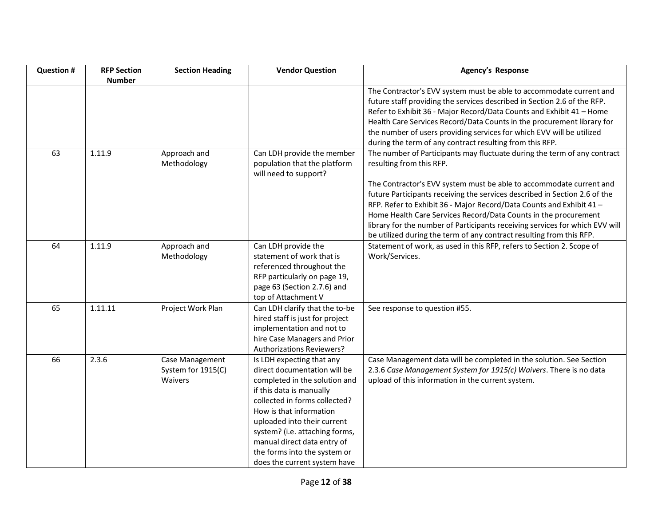| <b>Question #</b> | <b>RFP Section</b> | <b>Section Heading</b>                           | <b>Vendor Question</b>                                                                                                                                                                                                                                                                                                                             | Agency's Response                                                                                                                                                                                                                                                                                                                                                                                                                                                                                                                                            |
|-------------------|--------------------|--------------------------------------------------|----------------------------------------------------------------------------------------------------------------------------------------------------------------------------------------------------------------------------------------------------------------------------------------------------------------------------------------------------|--------------------------------------------------------------------------------------------------------------------------------------------------------------------------------------------------------------------------------------------------------------------------------------------------------------------------------------------------------------------------------------------------------------------------------------------------------------------------------------------------------------------------------------------------------------|
|                   | <b>Number</b>      |                                                  |                                                                                                                                                                                                                                                                                                                                                    | The Contractor's EVV system must be able to accommodate current and<br>future staff providing the services described in Section 2.6 of the RFP.<br>Refer to Exhibit 36 - Major Record/Data Counts and Exhibit 41 - Home<br>Health Care Services Record/Data Counts in the procurement library for<br>the number of users providing services for which EVV will be utilized<br>during the term of any contract resulting from this RFP.                                                                                                                       |
| 63                | 1.11.9             | Approach and<br>Methodology                      | Can LDH provide the member<br>population that the platform<br>will need to support?                                                                                                                                                                                                                                                                | The number of Participants may fluctuate during the term of any contract<br>resulting from this RFP.<br>The Contractor's EVV system must be able to accommodate current and<br>future Participants receiving the services described in Section 2.6 of the<br>RFP. Refer to Exhibit 36 - Major Record/Data Counts and Exhibit 41 -<br>Home Health Care Services Record/Data Counts in the procurement<br>library for the number of Participants receiving services for which EVV will<br>be utilized during the term of any contract resulting from this RFP. |
| 64                | 1.11.9             | Approach and<br>Methodology                      | Can LDH provide the<br>statement of work that is<br>referenced throughout the<br>RFP particularly on page 19,<br>page 63 (Section 2.7.6) and<br>top of Attachment V                                                                                                                                                                                | Statement of work, as used in this RFP, refers to Section 2. Scope of<br>Work/Services.                                                                                                                                                                                                                                                                                                                                                                                                                                                                      |
| 65                | 1.11.11            | Project Work Plan                                | Can LDH clarify that the to-be<br>hired staff is just for project<br>implementation and not to<br>hire Case Managers and Prior<br><b>Authorizations Reviewers?</b>                                                                                                                                                                                 | See response to question #55.                                                                                                                                                                                                                                                                                                                                                                                                                                                                                                                                |
| 66                | 2.3.6              | Case Management<br>System for 1915(C)<br>Waivers | Is LDH expecting that any<br>direct documentation will be<br>completed in the solution and<br>if this data is manually<br>collected in forms collected?<br>How is that information<br>uploaded into their current<br>system? (i.e. attaching forms,<br>manual direct data entry of<br>the forms into the system or<br>does the current system have | Case Management data will be completed in the solution. See Section<br>2.3.6 Case Management System for 1915(c) Waivers. There is no data<br>upload of this information in the current system.                                                                                                                                                                                                                                                                                                                                                               |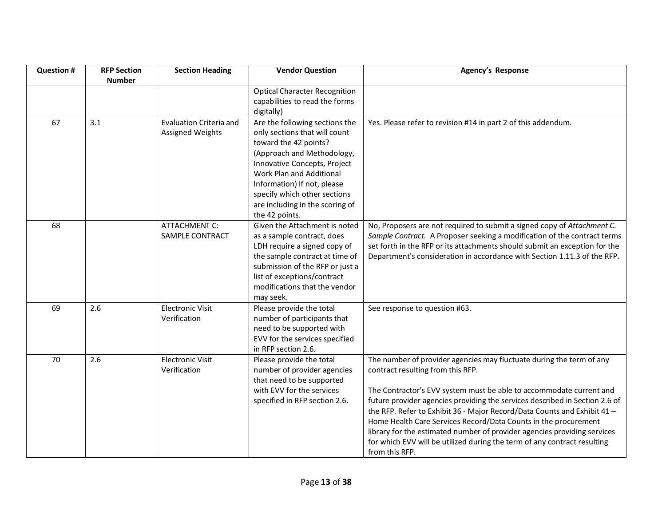| <b>Question #</b> | <b>RFP Section</b><br><b>Number</b> | <b>Section Heading</b>                                    | <b>Vendor Question</b>                                                                                                                                                                                                                                                                                 | <b>Agency's Response</b>                                                                                                                                                                                                                                                                                                                                                                                                                                                                                                                                                                 |
|-------------------|-------------------------------------|-----------------------------------------------------------|--------------------------------------------------------------------------------------------------------------------------------------------------------------------------------------------------------------------------------------------------------------------------------------------------------|------------------------------------------------------------------------------------------------------------------------------------------------------------------------------------------------------------------------------------------------------------------------------------------------------------------------------------------------------------------------------------------------------------------------------------------------------------------------------------------------------------------------------------------------------------------------------------------|
|                   |                                     |                                                           | <b>Optical Character Recognition</b><br>capabilities to read the forms<br>digitally)                                                                                                                                                                                                                   |                                                                                                                                                                                                                                                                                                                                                                                                                                                                                                                                                                                          |
| 67                | 3.1                                 | <b>Evaluation Criteria and</b><br><b>Assigned Weights</b> | Are the following sections the<br>only sections that will count<br>toward the 42 points?<br>(Approach and Methodology,<br>Innovative Concepts, Project<br>Work Plan and Additional<br>Information) If not, please<br>specify which other sections<br>are including in the scoring of<br>the 42 points. | Yes. Please refer to revision #14 in part 2 of this addendum.                                                                                                                                                                                                                                                                                                                                                                                                                                                                                                                            |
| 68                |                                     | <b>ATTACHMENT C:</b><br>SAMPLE CONTRACT                   | Given the Attachment is noted<br>as a sample contract, does<br>LDH require a signed copy of<br>the sample contract at time of<br>submission of the RFP or just a<br>list of exceptions/contract<br>modifications that the vendor<br>may seek.                                                          | No, Proposers are not required to submit a signed copy of Attachment C.<br>Sample Contract. A Proposer seeking a modification of the contract terms<br>set forth in the RFP or its attachments should submit an exception for the<br>Department's consideration in accordance with Section 1.11.3 of the RFP.                                                                                                                                                                                                                                                                            |
| 69                | 2.6                                 | <b>Electronic Visit</b><br>Verification                   | Please provide the total<br>number of participants that<br>need to be supported with<br>EVV for the services specified<br>in RFP section 2.6.                                                                                                                                                          | See response to question #63.                                                                                                                                                                                                                                                                                                                                                                                                                                                                                                                                                            |
| 70                | 2.6                                 | <b>Electronic Visit</b><br>Verification                   | Please provide the total<br>number of provider agencies<br>that need to be supported<br>with EVV for the services<br>specified in RFP section 2.6.                                                                                                                                                     | The number of provider agencies may fluctuate during the term of any<br>contract resulting from this RFP.<br>The Contractor's EVV system must be able to accommodate current and<br>future provider agencies providing the services described in Section 2.6 of<br>the RFP. Refer to Exhibit 36 - Major Record/Data Counts and Exhibit 41 -<br>Home Health Care Services Record/Data Counts in the procurement<br>library for the estimated number of provider agencies providing services<br>for which EVV will be utilized during the term of any contract resulting<br>from this RFP. |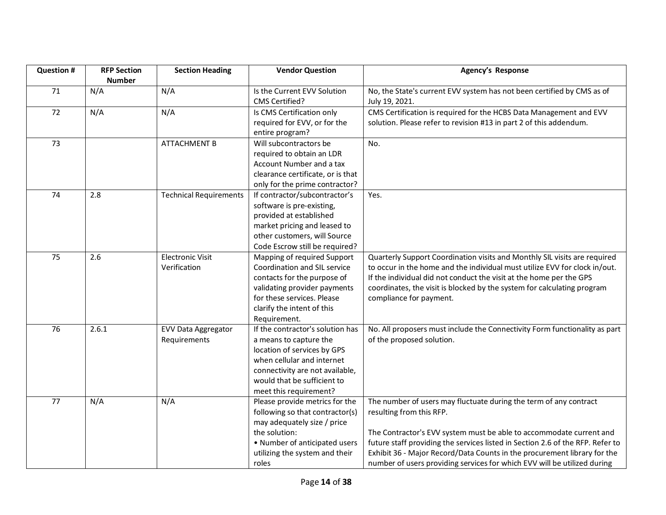| <b>Question #</b> | <b>RFP Section</b> | <b>Section Heading</b>        | <b>Vendor Question</b>            | <b>Agency's Response</b>                                                       |
|-------------------|--------------------|-------------------------------|-----------------------------------|--------------------------------------------------------------------------------|
|                   | <b>Number</b>      |                               |                                   |                                                                                |
| 71                | N/A                | N/A                           | Is the Current EVV Solution       | No, the State's current EVV system has not been certified by CMS as of         |
|                   |                    |                               | <b>CMS Certified?</b>             | July 19, 2021.                                                                 |
| 72                | N/A                | N/A                           | Is CMS Certification only         | CMS Certification is required for the HCBS Data Management and EVV             |
|                   |                    |                               | required for EVV, or for the      | solution. Please refer to revision #13 in part 2 of this addendum.             |
|                   |                    |                               | entire program?                   |                                                                                |
| 73                |                    | <b>ATTACHMENT B</b>           | Will subcontractors be            | No.                                                                            |
|                   |                    |                               | required to obtain an LDR         |                                                                                |
|                   |                    |                               | Account Number and a tax          |                                                                                |
|                   |                    |                               | clearance certificate, or is that |                                                                                |
|                   |                    |                               | only for the prime contractor?    |                                                                                |
| 74                | 2.8                | <b>Technical Requirements</b> | If contractor/subcontractor's     | Yes.                                                                           |
|                   |                    |                               | software is pre-existing,         |                                                                                |
|                   |                    |                               | provided at established           |                                                                                |
|                   |                    |                               | market pricing and leased to      |                                                                                |
|                   |                    |                               | other customers, will Source      |                                                                                |
|                   |                    |                               | Code Escrow still be required?    |                                                                                |
| 75                | 2.6                | <b>Electronic Visit</b>       | Mapping of required Support       | Quarterly Support Coordination visits and Monthly SIL visits are required      |
|                   |                    | Verification                  | Coordination and SIL service      | to occur in the home and the individual must utilize EVV for clock in/out.     |
|                   |                    |                               | contacts for the purpose of       | If the individual did not conduct the visit at the home per the GPS            |
|                   |                    |                               | validating provider payments      | coordinates, the visit is blocked by the system for calculating program        |
|                   |                    |                               | for these services. Please        | compliance for payment.                                                        |
|                   |                    |                               | clarify the intent of this        |                                                                                |
|                   |                    |                               | Requirement.                      |                                                                                |
| 76                | 2.6.1              | EVV Data Aggregator           | If the contractor's solution has  | No. All proposers must include the Connectivity Form functionality as part     |
|                   |                    | Requirements                  | a means to capture the            | of the proposed solution.                                                      |
|                   |                    |                               | location of services by GPS       |                                                                                |
|                   |                    |                               | when cellular and internet        |                                                                                |
|                   |                    |                               | connectivity are not available,   |                                                                                |
|                   |                    |                               | would that be sufficient to       |                                                                                |
|                   |                    |                               | meet this requirement?            |                                                                                |
| 77                | N/A                | N/A                           | Please provide metrics for the    | The number of users may fluctuate during the term of any contract              |
|                   |                    |                               | following so that contractor(s)   | resulting from this RFP.                                                       |
|                   |                    |                               | may adequately size / price       |                                                                                |
|                   |                    |                               | the solution:                     | The Contractor's EVV system must be able to accommodate current and            |
|                   |                    |                               | • Number of anticipated users     | future staff providing the services listed in Section 2.6 of the RFP. Refer to |
|                   |                    |                               | utilizing the system and their    | Exhibit 36 - Major Record/Data Counts in the procurement library for the       |
|                   |                    |                               | roles                             | number of users providing services for which EVV will be utilized during       |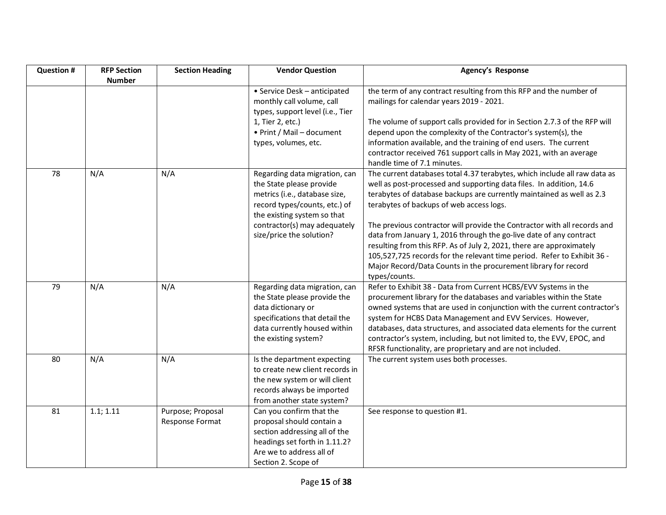| <b>Question #</b> | <b>RFP Section</b> | <b>Section Heading</b>               | <b>Vendor Question</b>                                                                                                                                                                                                 | <b>Agency's Response</b>                                                                                                                                                                                                                                                                                                                                                                                                                                                                                                                                                                                                                                      |
|-------------------|--------------------|--------------------------------------|------------------------------------------------------------------------------------------------------------------------------------------------------------------------------------------------------------------------|---------------------------------------------------------------------------------------------------------------------------------------------------------------------------------------------------------------------------------------------------------------------------------------------------------------------------------------------------------------------------------------------------------------------------------------------------------------------------------------------------------------------------------------------------------------------------------------------------------------------------------------------------------------|
|                   | <b>Number</b>      |                                      | • Service Desk - anticipated<br>monthly call volume, call<br>types, support level (i.e., Tier<br>1, Tier 2, etc.)<br>• Print / Mail - document<br>types, volumes, etc.                                                 | the term of any contract resulting from this RFP and the number of<br>mailings for calendar years 2019 - 2021.<br>The volume of support calls provided for in Section 2.7.3 of the RFP will<br>depend upon the complexity of the Contractor's system(s), the<br>information available, and the training of end users. The current<br>contractor received 761 support calls in May 2021, with an average<br>handle time of 7.1 minutes.                                                                                                                                                                                                                        |
| 78                | N/A                | N/A                                  | Regarding data migration, can<br>the State please provide<br>metrics (i.e., database size,<br>record types/counts, etc.) of<br>the existing system so that<br>contractor(s) may adequately<br>size/price the solution? | The current databases total 4.37 terabytes, which include all raw data as<br>well as post-processed and supporting data files. In addition, 14.6<br>terabytes of database backups are currently maintained as well as 2.3<br>terabytes of backups of web access logs.<br>The previous contractor will provide the Contractor with all records and<br>data from January 1, 2016 through the go-live date of any contract<br>resulting from this RFP. As of July 2, 2021, there are approximately<br>105,527,725 records for the relevant time period. Refer to Exhibit 36 -<br>Major Record/Data Counts in the procurement library for record<br>types/counts. |
| 79                | N/A                | N/A                                  | Regarding data migration, can<br>the State please provide the<br>data dictionary or<br>specifications that detail the<br>data currently housed within<br>the existing system?                                          | Refer to Exhibit 38 - Data from Current HCBS/EVV Systems in the<br>procurement library for the databases and variables within the State<br>owned systems that are used in conjunction with the current contractor's<br>system for HCBS Data Management and EVV Services. However,<br>databases, data structures, and associated data elements for the current<br>contractor's system, including, but not limited to, the EVV, EPOC, and<br>RFSR functionality, are proprietary and are not included.                                                                                                                                                          |
| 80                | N/A                | N/A                                  | Is the department expecting<br>to create new client records in<br>the new system or will client<br>records always be imported<br>from another state system?                                                            | The current system uses both processes.                                                                                                                                                                                                                                                                                                                                                                                                                                                                                                                                                                                                                       |
| 81                | 1.1; 1.11          | Purpose; Proposal<br>Response Format | Can you confirm that the<br>proposal should contain a<br>section addressing all of the<br>headings set forth in 1.11.2?<br>Are we to address all of<br>Section 2. Scope of                                             | See response to question #1.                                                                                                                                                                                                                                                                                                                                                                                                                                                                                                                                                                                                                                  |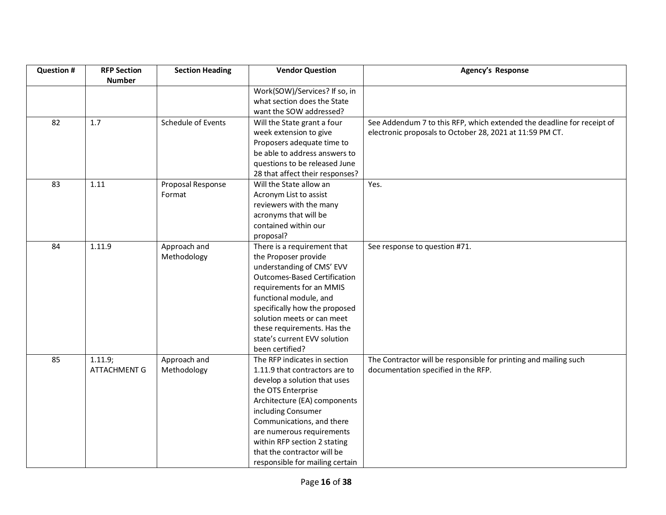| <b>Question #</b> | <b>RFP Section</b>  | <b>Section Heading</b> | <b>Vendor Question</b>              | <b>Agency's Response</b>                                               |
|-------------------|---------------------|------------------------|-------------------------------------|------------------------------------------------------------------------|
|                   | <b>Number</b>       |                        |                                     |                                                                        |
|                   |                     |                        | Work(SOW)/Services? If so, in       |                                                                        |
|                   |                     |                        | what section does the State         |                                                                        |
|                   |                     |                        | want the SOW addressed?             |                                                                        |
| 82                | 1.7                 | Schedule of Events     | Will the State grant a four         | See Addendum 7 to this RFP, which extended the deadline for receipt of |
|                   |                     |                        | week extension to give              | electronic proposals to October 28, 2021 at 11:59 PM CT.               |
|                   |                     |                        | Proposers adequate time to          |                                                                        |
|                   |                     |                        | be able to address answers to       |                                                                        |
|                   |                     |                        | questions to be released June       |                                                                        |
|                   |                     |                        | 28 that affect their responses?     |                                                                        |
| 83                | 1.11                | Proposal Response      | Will the State allow an             | Yes.                                                                   |
|                   |                     | Format                 | Acronym List to assist              |                                                                        |
|                   |                     |                        | reviewers with the many             |                                                                        |
|                   |                     |                        | acronyms that will be               |                                                                        |
|                   |                     |                        | contained within our                |                                                                        |
|                   |                     |                        | proposal?                           |                                                                        |
| 84                | 1.11.9              | Approach and           | There is a requirement that         | See response to question #71.                                          |
|                   |                     | Methodology            | the Proposer provide                |                                                                        |
|                   |                     |                        | understanding of CMS' EVV           |                                                                        |
|                   |                     |                        | <b>Outcomes-Based Certification</b> |                                                                        |
|                   |                     |                        | requirements for an MMIS            |                                                                        |
|                   |                     |                        | functional module, and              |                                                                        |
|                   |                     |                        | specifically how the proposed       |                                                                        |
|                   |                     |                        | solution meets or can meet          |                                                                        |
|                   |                     |                        | these requirements. Has the         |                                                                        |
|                   |                     |                        | state's current EVV solution        |                                                                        |
|                   |                     |                        | been certified?                     |                                                                        |
| 85                | 1.11.9;             | Approach and           | The RFP indicates in section        | The Contractor will be responsible for printing and mailing such       |
|                   | <b>ATTACHMENT G</b> | Methodology            | 1.11.9 that contractors are to      | documentation specified in the RFP.                                    |
|                   |                     |                        | develop a solution that uses        |                                                                        |
|                   |                     |                        | the OTS Enterprise                  |                                                                        |
|                   |                     |                        | Architecture (EA) components        |                                                                        |
|                   |                     |                        | including Consumer                  |                                                                        |
|                   |                     |                        | Communications, and there           |                                                                        |
|                   |                     |                        | are numerous requirements           |                                                                        |
|                   |                     |                        | within RFP section 2 stating        |                                                                        |
|                   |                     |                        | that the contractor will be         |                                                                        |
|                   |                     |                        | responsible for mailing certain     |                                                                        |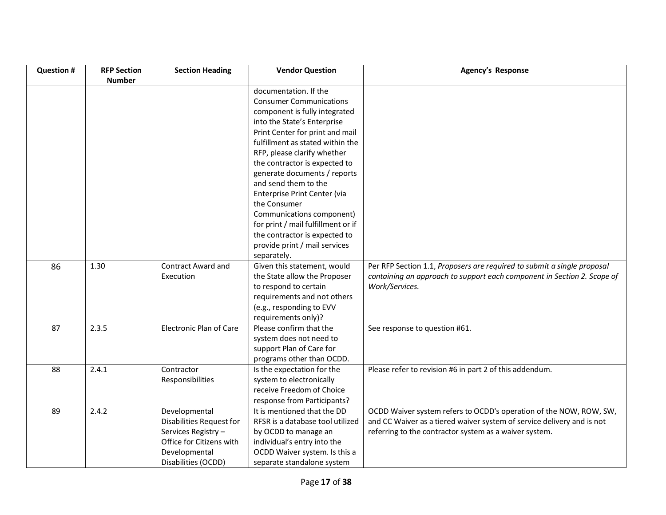| <b>Question #</b> | <b>RFP Section</b> | <b>Section Heading</b>         | <b>Vendor Question</b>             | Agency's Response                                                       |
|-------------------|--------------------|--------------------------------|------------------------------------|-------------------------------------------------------------------------|
|                   | <b>Number</b>      |                                |                                    |                                                                         |
|                   |                    |                                | documentation. If the              |                                                                         |
|                   |                    |                                | <b>Consumer Communications</b>     |                                                                         |
|                   |                    |                                | component is fully integrated      |                                                                         |
|                   |                    |                                | into the State's Enterprise        |                                                                         |
|                   |                    |                                | Print Center for print and mail    |                                                                         |
|                   |                    |                                | fulfillment as stated within the   |                                                                         |
|                   |                    |                                | RFP, please clarify whether        |                                                                         |
|                   |                    |                                | the contractor is expected to      |                                                                         |
|                   |                    |                                | generate documents / reports       |                                                                         |
|                   |                    |                                | and send them to the               |                                                                         |
|                   |                    |                                | Enterprise Print Center (via       |                                                                         |
|                   |                    |                                | the Consumer                       |                                                                         |
|                   |                    |                                | Communications component)          |                                                                         |
|                   |                    |                                | for print / mail fulfillment or if |                                                                         |
|                   |                    |                                | the contractor is expected to      |                                                                         |
|                   |                    |                                | provide print / mail services      |                                                                         |
|                   |                    |                                | separately.                        |                                                                         |
| 86                | 1.30               | <b>Contract Award and</b>      | Given this statement, would        | Per RFP Section 1.1, Proposers are required to submit a single proposal |
|                   |                    | Execution                      | the State allow the Proposer       | containing an approach to support each component in Section 2. Scope of |
|                   |                    |                                | to respond to certain              | Work/Services.                                                          |
|                   |                    |                                | requirements and not others        |                                                                         |
|                   |                    |                                | (e.g., responding to EVV           |                                                                         |
|                   |                    |                                | requirements only)?                |                                                                         |
| 87                | 2.3.5              | <b>Electronic Plan of Care</b> | Please confirm that the            | See response to question #61.                                           |
|                   |                    |                                | system does not need to            |                                                                         |
|                   |                    |                                | support Plan of Care for           |                                                                         |
|                   |                    |                                | programs other than OCDD.          |                                                                         |
| 88                | 2.4.1              | Contractor                     | Is the expectation for the         | Please refer to revision #6 in part 2 of this addendum.                 |
|                   |                    | Responsibilities               | system to electronically           |                                                                         |
|                   |                    |                                | receive Freedom of Choice          |                                                                         |
|                   |                    |                                | response from Participants?        |                                                                         |
| 89                | 2.4.2              | Developmental                  | It is mentioned that the DD        | OCDD Waiver system refers to OCDD's operation of the NOW, ROW, SW,      |
|                   |                    | Disabilities Request for       | RFSR is a database tool utilized   | and CC Waiver as a tiered waiver system of service delivery and is not  |
|                   |                    | Services Registry -            | by OCDD to manage an               | referring to the contractor system as a waiver system.                  |
|                   |                    | Office for Citizens with       | individual's entry into the        |                                                                         |
|                   |                    | Developmental                  | OCDD Waiver system. Is this a      |                                                                         |
|                   |                    | Disabilities (OCDD)            | separate standalone system         |                                                                         |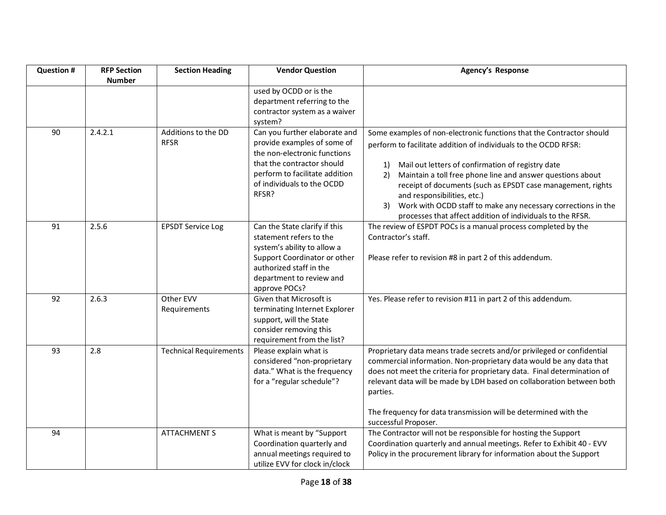| <b>Question #</b> | <b>RFP Section</b><br><b>Number</b> | <b>Section Heading</b>             | <b>Vendor Question</b>                                                                                                                                                                              | Agency's Response                                                                                                                                                                                                                                                                                                                                                                                                                                                                                         |
|-------------------|-------------------------------------|------------------------------------|-----------------------------------------------------------------------------------------------------------------------------------------------------------------------------------------------------|-----------------------------------------------------------------------------------------------------------------------------------------------------------------------------------------------------------------------------------------------------------------------------------------------------------------------------------------------------------------------------------------------------------------------------------------------------------------------------------------------------------|
|                   |                                     |                                    | used by OCDD or is the<br>department referring to the<br>contractor system as a waiver<br>system?                                                                                                   |                                                                                                                                                                                                                                                                                                                                                                                                                                                                                                           |
| 90                | 2.4.2.1                             | Additions to the DD<br><b>RFSR</b> | Can you further elaborate and<br>provide examples of some of<br>the non-electronic functions<br>that the contractor should<br>perform to facilitate addition<br>of individuals to the OCDD<br>RFSR? | Some examples of non-electronic functions that the Contractor should<br>perform to facilitate addition of individuals to the OCDD RFSR:<br>Mail out letters of confirmation of registry date<br>1)<br>Maintain a toll free phone line and answer questions about<br>2)<br>receipt of documents (such as EPSDT case management, rights<br>and responsibilities, etc.)<br>Work with OCDD staff to make any necessary corrections in the<br>3)<br>processes that affect addition of individuals to the RFSR. |
| 91                | 2.5.6                               | <b>EPSDT Service Log</b>           | Can the State clarify if this<br>statement refers to the<br>system's ability to allow a<br>Support Coordinator or other<br>authorized staff in the<br>department to review and<br>approve POCs?     | The review of ESPDT POCs is a manual process completed by the<br>Contractor's staff.<br>Please refer to revision #8 in part 2 of this addendum.                                                                                                                                                                                                                                                                                                                                                           |
| 92                | 2.6.3                               | Other EVV<br>Requirements          | Given that Microsoft is<br>terminating Internet Explorer<br>support, will the State<br>consider removing this<br>requirement from the list?                                                         | Yes. Please refer to revision #11 in part 2 of this addendum.                                                                                                                                                                                                                                                                                                                                                                                                                                             |
| 93                | 2.8                                 | <b>Technical Requirements</b>      | Please explain what is<br>considered "non-proprietary<br>data." What is the frequency<br>for a "regular schedule"?                                                                                  | Proprietary data means trade secrets and/or privileged or confidential<br>commercial information. Non-proprietary data would be any data that<br>does not meet the criteria for proprietary data. Final determination of<br>relevant data will be made by LDH based on collaboration between both<br>parties.<br>The frequency for data transmission will be determined with the<br>successful Proposer.                                                                                                  |
| 94                |                                     | <b>ATTACHMENT S</b>                | What is meant by "Support<br>Coordination quarterly and<br>annual meetings required to<br>utilize EVV for clock in/clock                                                                            | The Contractor will not be responsible for hosting the Support<br>Coordination quarterly and annual meetings. Refer to Exhibit 40 - EVV<br>Policy in the procurement library for information about the Support                                                                                                                                                                                                                                                                                            |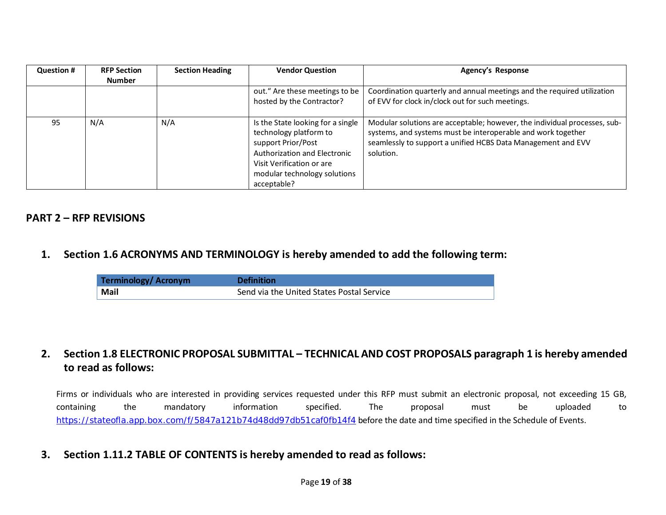| <b>Question #</b> | <b>RFP Section</b> | <b>Section Heading</b> | <b>Vendor Question</b>                                                                                                                                                                        | Agency's Response                                                                                                                                                                                                      |
|-------------------|--------------------|------------------------|-----------------------------------------------------------------------------------------------------------------------------------------------------------------------------------------------|------------------------------------------------------------------------------------------------------------------------------------------------------------------------------------------------------------------------|
|                   | <b>Number</b>      |                        |                                                                                                                                                                                               |                                                                                                                                                                                                                        |
|                   |                    |                        | out." Are these meetings to be                                                                                                                                                                | Coordination quarterly and annual meetings and the required utilization                                                                                                                                                |
|                   |                    |                        | hosted by the Contractor?                                                                                                                                                                     | of EVV for clock in/clock out for such meetings.                                                                                                                                                                       |
| 95                | N/A                | N/A                    | Is the State looking for a single<br>technology platform to<br>support Prior/Post<br>Authorization and Electronic<br>Visit Verification or are<br>modular technology solutions<br>acceptable? | Modular solutions are acceptable; however, the individual processes, sub-<br>systems, and systems must be interoperable and work together<br>seamlessly to support a unified HCBS Data Management and EVV<br>solution. |

#### **PART 2 – RFP REVISIONS**

#### **1. Section 1.6 ACRONYMS AND TERMINOLOGY is hereby amended to add the following term:**

| Terminology/Acronym | <b>Definition</b>                         |
|---------------------|-------------------------------------------|
| Mail                | Send via the United States Postal Service |

## **2. Section 1.8 ELECTRONIC PROPOSAL SUBMITTAL – TECHNICAL AND COST PROPOSALS paragraph 1 is hereby amended to read as follows:**

Firms or individuals who are interested in providing services requested under this RFP must submit an electronic proposal, not exceeding 15 GB, containing the mandatory information specified. The proposal must be uploaded to <https://stateofla.app.box.com/f/5847a121b74d48dd97db51caf0fb14f4> before the date and time specified in the Schedule of Events.

#### **3. Section 1.11.2 TABLE OF CONTENTS is hereby amended to read as follows:**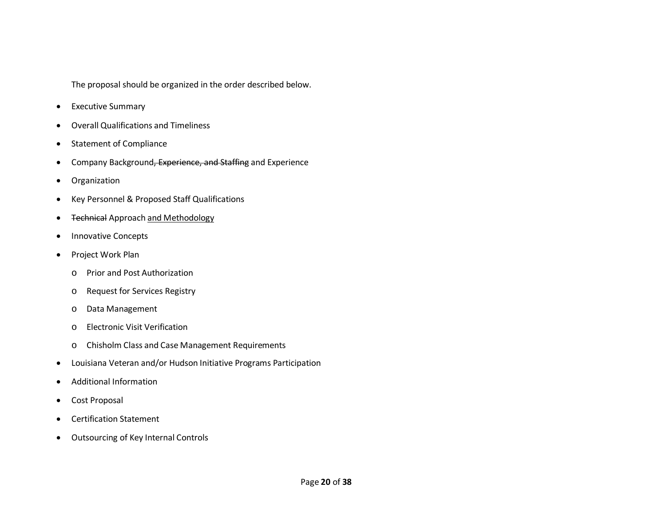The proposal should be organized in the order described below.

- Executive Summary
- Overall Qualifications and Timeliness
- Statement of Compliance
- Company Background, Experience, and Staffing and Experience
- Organization
- Key Personnel & Proposed Staff Qualifications
- Technical Approach and Methodology
- Innovative Concepts
- Project Work Plan
	- o Prior and Post Authorization
	- o Request for Services Registry
	- o Data Management
	- o Electronic Visit Verification
	- o Chisholm Class and Case Management Requirements
- Louisiana Veteran and/or Hudson Initiative Programs Participation
- Additional Information
- Cost Proposal
- Certification Statement
- Outsourcing of Key Internal Controls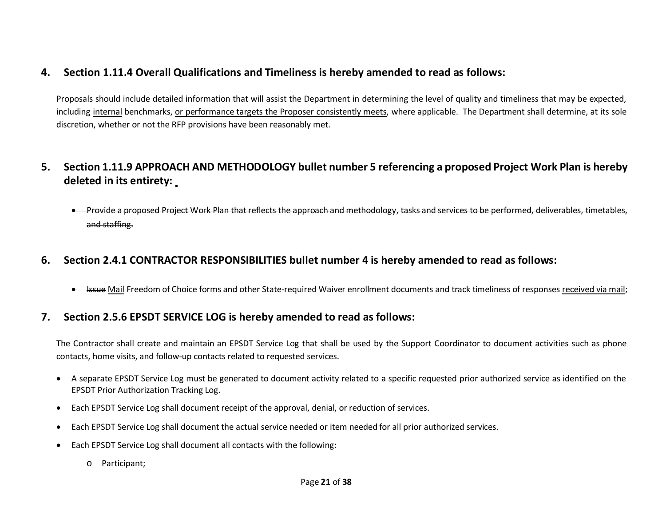## **4. Section 1.11.4 Overall Qualifications and Timeliness is hereby amended to read as follows:**

Proposals should include detailed information that will assist the Department in determining the level of quality and timeliness that may be expected, including internal benchmarks, or performance targets the Proposer consistently meets, where applicable. The Department shall determine, at its sole discretion, whether or not the RFP provisions have been reasonably met.

## **5. Section 1.11.9 APPROACH AND METHODOLOGY bullet number 5 referencing a proposed Project Work Plan is hereby deleted in its entirety:**

• Provide a proposed Project Work Plan that reflects the approach and methodology, tasks and services to be performed, deliverables, timetables, and staffing.

## **6. Section 2.4.1 CONTRACTOR RESPONSIBILITIES bullet number 4 is hereby amended to read as follows:**

• Issue Mail Freedom of Choice forms and other State-required Waiver enrollment documents and track timeliness of responses received via mail;

## **7. Section 2.5.6 EPSDT SERVICE LOG is hereby amended to read as follows:**

The Contractor shall create and maintain an EPSDT Service Log that shall be used by the Support Coordinator to document activities such as phone contacts, home visits, and follow-up contacts related to requested services.

- A separate EPSDT Service Log must be generated to document activity related to a specific requested prior authorized service as identified on the EPSDT Prior Authorization Tracking Log.
- Each EPSDT Service Log shall document receipt of the approval, denial, or reduction of services.
- Each EPSDT Service Log shall document the actual service needed or item needed for all prior authorized services.
- Each EPSDT Service Log shall document all contacts with the following:
	- o Participant;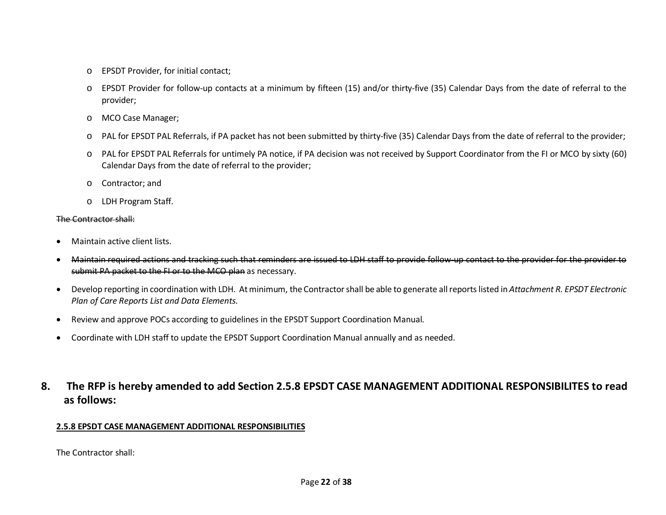- o EPSDT Provider, for initial contact;
- o EPSDT Provider for follow-up contacts at a minimum by fifteen (15) and/or thirty-five (35) Calendar Days from the date of referral to the provider;
- o MCO Case Manager;
- o PAL for EPSDT PAL Referrals, if PA packet has not been submitted by thirty-five (35) Calendar Days from the date of referral to the provider;
- o PAL for EPSDT PAL Referrals for untimely PA notice, if PA decision was not received by Support Coordinator from the FI or MCO by sixty (60) Calendar Days from the date of referral to the provider;
- o Contractor; and
- o LDH Program Staff.

#### The Contractor shall:

- Maintain active client lists.
- Maintain required actions and tracking such that reminders are issued to LDH staff to provide follow-up contact to the provider for the provider to submit PA packet to the FI or to the MCO plan as necessary.
- Develop reporting in coordination with LDH. At minimum, the Contractor shall be able to generate all reports listed in *Attachment R. EPSDT Electronic Plan of Care Reports List and Data Elements.*
- Review and approve POCs according to guidelines in the EPSDT Support Coordination Manual.
- Coordinate with LDH staff to update the EPSDT Support Coordination Manual annually and as needed.
- **8. The RFP is hereby amended to add Section 2.5.8 EPSDT CASE MANAGEMENT ADDITIONAL RESPONSIBILITES to read as follows:**

#### **2.5.8 EPSDT CASE MANAGEMENT ADDITIONAL RESPONSIBILITIES**

The Contractor shall: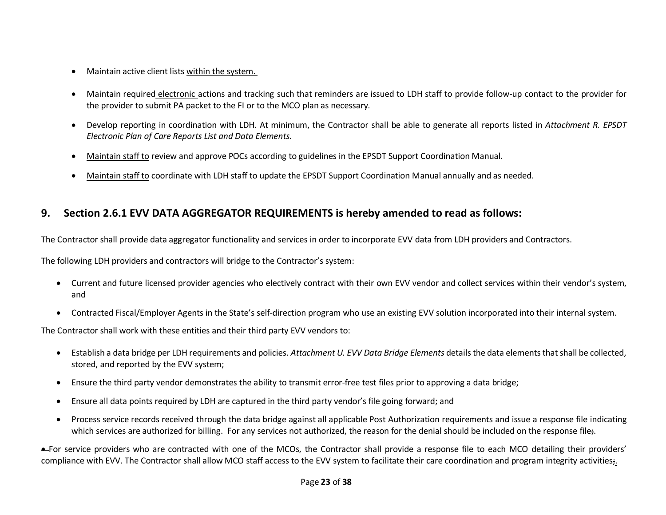- Maintain active client lists within the system.
- Maintain required electronic actions and tracking such that reminders are issued to LDH staff to provide follow-up contact to the provider for the provider to submit PA packet to the FI or to the MCO plan as necessary.
- Develop reporting in coordination with LDH. At minimum, the Contractor shall be able to generate all reports listed in *Attachment R. EPSDT Electronic Plan of Care Reports List and Data Elements.*
- Maintain staff to review and approve POCs according to guidelines in the EPSDT Support Coordination Manual.
- Maintain staff to coordinate with LDH staff to update the EPSDT Support Coordination Manual annually and as needed.

## **9. Section 2.6.1 EVV DATA AGGREGATOR REQUIREMENTS is hereby amended to read as follows:**

The Contractor shall provide data aggregator functionality and services in order to incorporate EVV data from LDH providers and Contractors.

The following LDH providers and contractors will bridge to the Contractor's system:

- Current and future licensed provider agencies who electively contract with their own EVV vendor and collect services within their vendor's system, and
- Contracted Fiscal/Employer Agents in the State's self-direction program who use an existing EVV solution incorporated into their internal system.

The Contractor shall work with these entities and their third party EVV vendors to:

- Establish a data bridge per LDH requirements and policies. *Attachment U. EVV Data Bridge Elements* details the data elements that shall be collected, stored, and reported by the EVV system;
- Ensure the third party vendor demonstrates the ability to transmit error-free test files prior to approving a data bridge;
- Ensure all data points required by LDH are captured in the third party vendor's file going forward; and
- Process service records received through the data bridge against all applicable Post Authorization requirements and issue a response file indicating which services are authorized for billing. For any services not authorized, the reason for the denial should be included on the response file;

• For service providers who are contracted with one of the MCOs, the Contractor shall provide a response file to each MCO detailing their providers' compliance with EVV. The Contractor shall allow MCO staff access to the EVV system to facilitate their care coordination and program integrity activities;.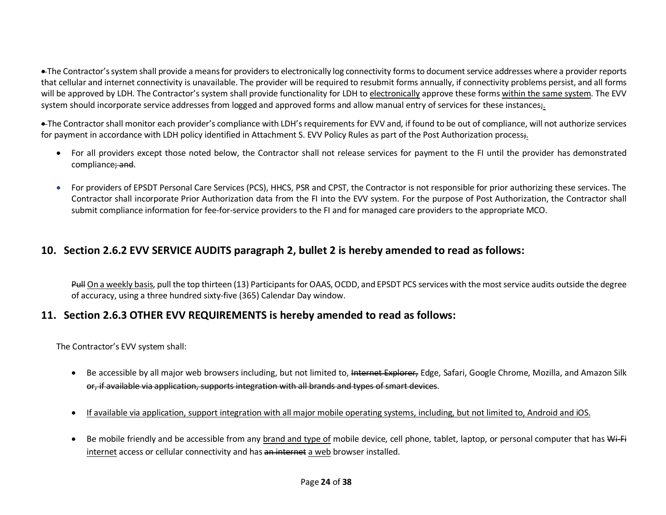• The Contractor's system shall provide a means for providers to electronically log connectivity forms to document service addresses where a provider reports that cellular and internet connectivity is unavailable. The provider will be required to resubmit forms annually, if connectivity problems persist, and all forms will be approved by LDH. The Contractor's system shall provide functionality for LDH to electronically approve these forms within the same system. The EVV system should incorporate service addresses from logged and approved forms and allow manual entry of services for these instances;.

• The Contractor shall monitor each provider's compliance with LDH's requirements for EVV and, if found to be out of compliance, will not authorize services for payment in accordance with LDH policy identified in Attachment S. EVV Policy Rules as part of the Post Authorization process;.

- For all providers except those noted below, the Contractor shall not release services for payment to the FI until the provider has demonstrated compliance; and.
- For providers of EPSDT Personal Care Services (PCS), HHCS, PSR and CPST, the Contractor is not responsible for prior authorizing these services. The Contractor shall incorporate Prior Authorization data from the FI into the EVV system. For the purpose of Post Authorization, the Contractor shall submit compliance information for fee-for-service providers to the FI and for managed care providers to the appropriate MCO.

## **10. Section 2.6.2 EVV SERVICE AUDITS paragraph 2, bullet 2 is hereby amended to read as follows:**

Pull On a weekly basis, pull the top thirteen (13) Participants for OAAS, OCDD, and EPSDT PCS services with the most service audits outside the degree of accuracy, using a three hundred sixty-five (365) Calendar Day window.

## **11. Section 2.6.3 OTHER EVV REQUIREMENTS is hereby amended to read as follows:**

The Contractor's EVV system shall:

- Be accessible by all major web browsers including, but not limited to, Internet Explorer, Edge, Safari, Google Chrome, Mozilla, and Amazon Silk or, if available via application, supports integration with all brands and types of smart devices.
- If available via application, support integration with all major mobile operating systems, including, but not limited to, Android and iOS.
- Be mobile friendly and be accessible from any brand and type of mobile device, cell phone, tablet, laptop, or personal computer that has Wi-Fi internet access or cellular connectivity and has an internet a web browser installed.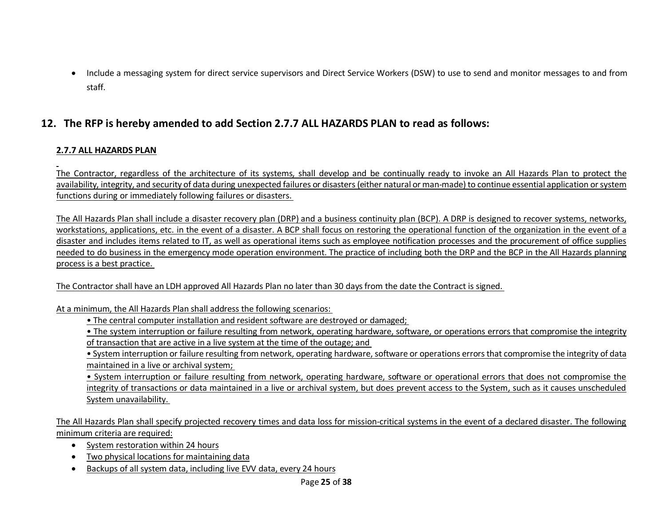• Include a messaging system for direct service supervisors and Direct Service Workers (DSW) to use to send and monitor messages to and from staff.

## **12. The RFP is hereby amended to add Section 2.7.7 ALL HAZARDS PLAN to read as follows:**

#### **2.7.7 ALL HAZARDS PLAN**

The Contractor, regardless of the architecture of its systems, shall develop and be continually ready to invoke an All Hazards Plan to protect the availability, integrity, and security of data during unexpected failures or disasters (either natural or man-made) to continue essential application or system functions during or immediately following failures or disasters.

The All Hazards Plan shall include a disaster recovery plan (DRP) and a business continuity plan (BCP). A DRP is designed to recover systems, networks, workstations, applications, etc. in the event of a disaster. A BCP shall focus on restoring the operational function of the organization in the event of a disaster and includes items related to IT, as well as operational items such as employee notification processes and the procurement of office supplies needed to do business in the emergency mode operation environment. The practice of including both the DRP and the BCP in the All Hazards planning process is a best practice.

The Contractor shall have an LDH approved All Hazards Plan no later than 30 days from the date the Contract is signed.

At a minimum, the All Hazards Plan shall address the following scenarios:

• The central computer installation and resident software are destroyed or damaged;

• The system interruption or failure resulting from network, operating hardware, software, or operations errors that compromise the integrity of transaction that are active in a live system at the time of the outage; and

• System interruption or failure resulting from network, operating hardware, software or operations errors that compromise the integrity of data maintained in a live or archival system;

• System interruption or failure resulting from network, operating hardware, software or operational errors that does not compromise the integrity of transactions or data maintained in a live or archival system, but does prevent access to the System, such as it causes unscheduled System unavailability.

The All Hazards Plan shall specify projected recovery times and data loss for mission-critical systems in the event of a declared disaster. The following minimum criteria are required:

- System restoration within 24 hours
- Two physical locations for maintaining data
- Backups of all system data, including live EVV data, every 24 hours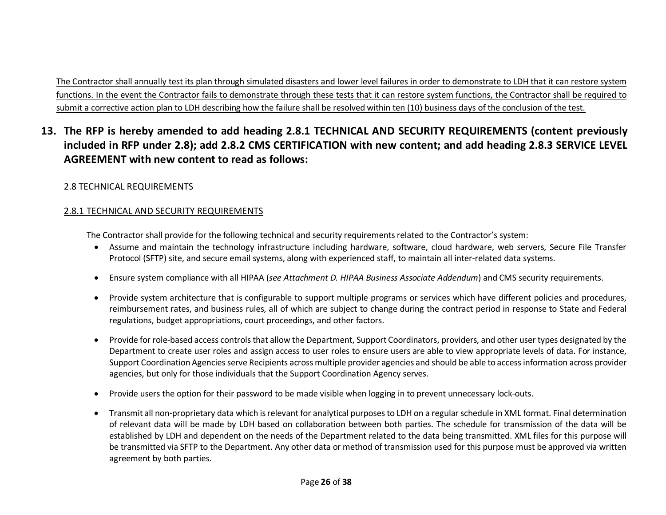The Contractor shall annually test its plan through simulated disasters and lower level failures in order to demonstrate to LDH that it can restore system functions. In the event the Contractor fails to demonstrate through these tests that it can restore system functions, the Contractor shall be required to submit a corrective action plan to LDH describing how the failure shall be resolved within ten (10) business days of the conclusion of the test.

## **13. The RFP is hereby amended to add heading 2.8.1 TECHNICAL AND SECURITY REQUIREMENTS (content previously included in RFP under 2.8); add 2.8.2 CMS CERTIFICATION with new content; and add heading 2.8.3 SERVICE LEVEL AGREEMENT with new content to read as follows:**

#### 2.8 TECHNICAL REQUIREMENTS

#### 2.8.1 TECHNICAL AND SECURITY REQUIREMENTS

The Contractor shall provide for the following technical and security requirements related to the Contractor's system:

- Assume and maintain the technology infrastructure including hardware, software, cloud hardware, web servers, Secure File Transfer Protocol (SFTP) site, and secure email systems, along with experienced staff, to maintain all inter-related data systems.
- Ensure system compliance with all HIPAA (*see Attachment D. HIPAA Business Associate Addendum*) and CMS security requirements.
- Provide system architecture that is configurable to support multiple programs or services which have different policies and procedures, reimbursement rates, and business rules, all of which are subject to change during the contract period in response to State and Federal regulations, budget appropriations, court proceedings, and other factors.
- Provide for role-based access controls that allow the Department, Support Coordinators, providers, and other user types designated by the Department to create user roles and assign access to user roles to ensure users are able to view appropriate levels of data. For instance, Support Coordination Agencies serve Recipients across multiple provider agencies and should be able to access information across provider agencies, but only for those individuals that the Support Coordination Agency serves.
- Provide users the option for their password to be made visible when logging in to prevent unnecessary lock-outs.
- Transmit all non-proprietary data which is relevant for analytical purposes to LDH on a regular schedule in XML format. Final determination of relevant data will be made by LDH based on collaboration between both parties. The schedule for transmission of the data will be established by LDH and dependent on the needs of the Department related to the data being transmitted. XML files for this purpose will be transmitted via SFTP to the Department. Any other data or method of transmission used for this purpose must be approved via written agreement by both parties.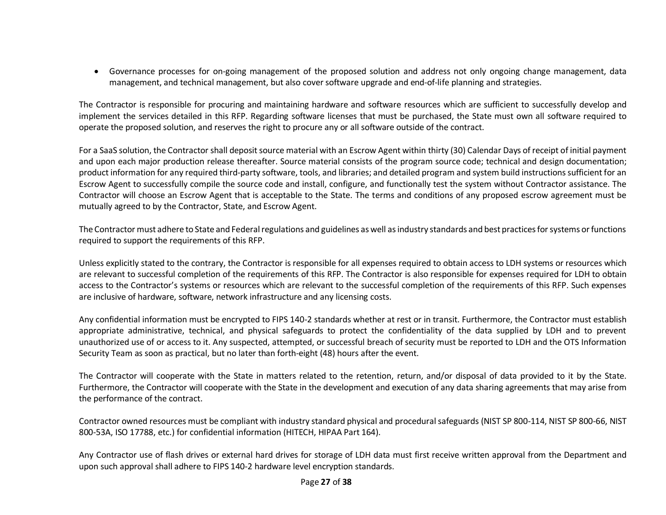• Governance processes for on-going management of the proposed solution and address not only ongoing change management, data management, and technical management, but also cover software upgrade and end-of-life planning and strategies.

The Contractor is responsible for procuring and maintaining hardware and software resources which are sufficient to successfully develop and implement the services detailed in this RFP. Regarding software licenses that must be purchased, the State must own all software required to operate the proposed solution, and reserves the right to procure any or all software outside of the contract.

For a SaaS solution, the Contractor shall deposit source material with an Escrow Agent within thirty (30) Calendar Days of receipt of initial payment and upon each major production release thereafter. Source material consists of the program source code; technical and design documentation; product information for any required third-party software, tools, and libraries; and detailed program and system build instructions sufficient for an Escrow Agent to successfully compile the source code and install, configure, and functionally test the system without Contractor assistance. The Contractor will choose an Escrow Agent that is acceptable to the State. The terms and conditions of any proposed escrow agreement must be mutually agreed to by the Contractor, State, and Escrow Agent.

The Contractor must adhere to State and Federal regulations and guidelines as well as industry standards and best practices for systems or functions required to support the requirements of this RFP.

Unless explicitly stated to the contrary, the Contractor is responsible for all expenses required to obtain access to LDH systems or resources which are relevant to successful completion of the requirements of this RFP. The Contractor is also responsible for expenses required for LDH to obtain access to the Contractor's systems or resources which are relevant to the successful completion of the requirements of this RFP. Such expenses are inclusive of hardware, software, network infrastructure and any licensing costs.

Any confidential information must be encrypted to FIPS 140-2 standards whether at rest or in transit. Furthermore, the Contractor must establish appropriate administrative, technical, and physical safeguards to protect the confidentiality of the data supplied by LDH and to prevent unauthorized use of or access to it. Any suspected, attempted, or successful breach of security must be reported to LDH and the OTS Information Security Team as soon as practical, but no later than forth-eight (48) hours after the event.

The Contractor will cooperate with the State in matters related to the retention, return, and/or disposal of data provided to it by the State. Furthermore, the Contractor will cooperate with the State in the development and execution of any data sharing agreements that may arise from the performance of the contract.

Contractor owned resources must be compliant with industry standard physical and procedural safeguards (NIST SP 800-114, NIST SP 800-66, NIST 800-53A, ISO 17788, etc.) for confidential information (HITECH, HIPAA Part 164).

Any Contractor use of flash drives or external hard drives for storage of LDH data must first receive written approval from the Department and upon such approval shall adhere to FIPS 140-2 hardware level encryption standards.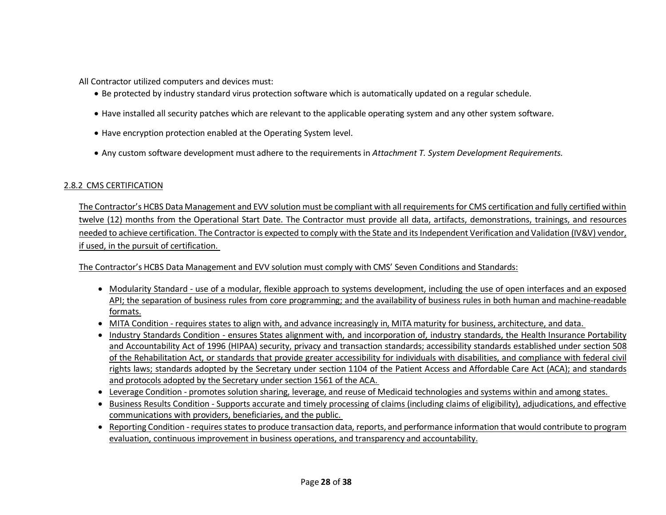All Contractor utilized computers and devices must:

- Be protected by industry standard virus protection software which is automatically updated on a regular schedule.
- Have installed all security patches which are relevant to the applicable operating system and any other system software.
- Have encryption protection enabled at the Operating System level.
- Any custom software development must adhere to the requirements in *Attachment T. System Development Requirements.*

#### 2.8.2 CMS CERTIFICATION

The Contractor's HCBS Data Management and EVV solution must be compliant with all requirements for CMS certification and fully certified within twelve (12) months from the Operational Start Date. The Contractor must provide all data, artifacts, demonstrations, trainings, and resources needed to achieve certification. The Contractor is expected to comply with the State and its Independent Verification and Validation (IV&V) vendor, if used, in the pursuit of certification.

The Contractor's HCBS Data Management and EVV solution must comply with CMS' Seven Conditions and Standards:

- Modularity Standard use of a modular, flexible approach to systems development, including the use of open interfaces and an exposed API; the separation of business rules from core programming; and the availability of business rules in both human and machine-readable formats.
- MITA Condition requires states to align with, and advance increasingly in, MITA maturity for business, architecture, and data.
- Industry Standards Condition ensures States alignment with, and incorporation of, industry standards, the Health Insurance Portability and Accountability Act of 1996 (HIPAA) security, privacy and transaction standards; accessibility standards established under section 508 of the Rehabilitation Act, or standards that provide greater accessibility for individuals with disabilities, and compliance with federal civil rights laws; standards adopted by the Secretary under section 1104 of the Patient Access and Affordable Care Act (ACA); and standards and protocols adopted by the Secretary under section 1561 of the ACA.
- Leverage Condition promotes solution sharing, leverage, and reuse of Medicaid technologies and systems within and among states.
- Business Results Condition Supports accurate and timely processing of claims (including claims of eligibility), adjudications, and effective communications with providers, beneficiaries, and the public.
- Reporting Condition requires states to produce transaction data, reports, and performance information that would contribute to program evaluation, continuous improvement in business operations, and transparency and accountability.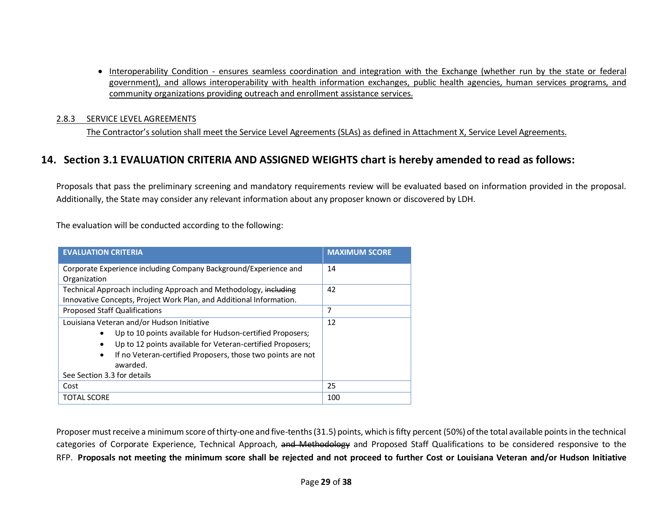• Interoperability Condition - ensures seamless coordination and integration with the Exchange (whether run by the state or federal government), and allows interoperability with health information exchanges, public health agencies, human services programs, and community organizations providing outreach and enrollment assistance services.

#### 2.8.3 SERVICE LEVEL AGREEMENTS

The Contractor's solution shall meet the Service Level Agreements (SLAs) as defined in Attachment X, Service Level Agreements.

## **14. Section 3.1 EVALUATION CRITERIA AND ASSIGNED WEIGHTS chart is hereby amended to read as follows:**

Proposals that pass the preliminary screening and mandatory requirements review will be evaluated based on information provided in the proposal. Additionally, the State may consider any relevant information about any proposer known or discovered by LDH.

The evaluation will be conducted according to the following:

| <b>EVALUATION CRITERIA</b>                                                           | <b>MAXIMUM SCORE</b> |
|--------------------------------------------------------------------------------------|----------------------|
| Corporate Experience including Company Background/Experience and                     | 14                   |
| Organization                                                                         |                      |
| Technical Approach including Approach and Methodology, including                     | 42                   |
| Innovative Concepts, Project Work Plan, and Additional Information.                  |                      |
| Proposed Staff Qualifications                                                        | 7                    |
| Louisiana Veteran and/or Hudson Initiative                                           | 12                   |
| Up to 10 points available for Hudson-certified Proposers;<br>٠                       |                      |
| Up to 12 points available for Veteran-certified Proposers;<br>٠                      |                      |
| If no Veteran-certified Proposers, those two points are not<br>$\bullet$<br>awarded. |                      |
| See Section 3.3 for details                                                          |                      |
| Cost                                                                                 | 25                   |
| TOTAL SCORE                                                                          | 100                  |

Proposer must receive a minimum score of thirty-one and five-tenths (31.5) points, which isfifty percent (50%) of the total available points in the technical categories of Corporate Experience, Technical Approach, and Methodology and Proposed Staff Qualifications to be considered responsive to the RFP. **Proposals not meeting the minimum score shall be rejected and not proceed to further Cost or Louisiana Veteran and/or Hudson Initiative**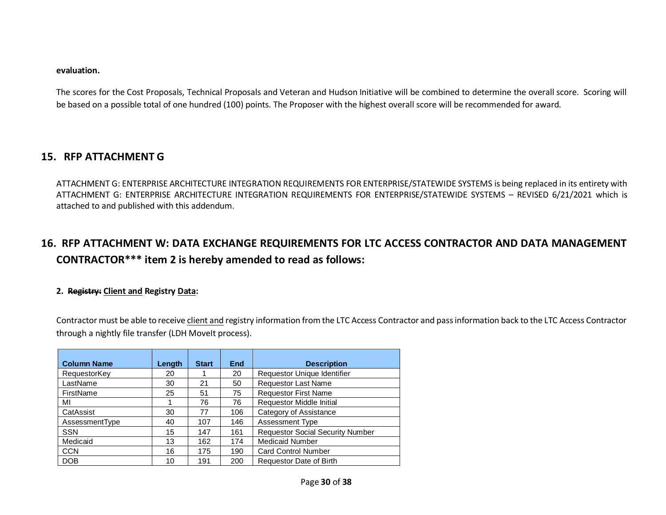#### **evaluation.**

The scores for the Cost Proposals, Technical Proposals and Veteran and Hudson Initiative will be combined to determine the overall score. Scoring will be based on a possible total of one hundred (100) points. The Proposer with the highest overall score will be recommended for award.

#### **15. RFP ATTACHMENT G**

ATTACHMENT G: ENTERPRISE ARCHITECTURE INTEGRATION REQUIREMENTS FOR ENTERPRISE/STATEWIDE SYSTEMS is being replaced in its entirety with ATTACHMENT G: ENTERPRISE ARCHITECTURE INTEGRATION REQUIREMENTS FOR ENTERPRISE/STATEWIDE SYSTEMS – REVISED 6/21/2021 which is attached to and published with this addendum.

## **16. RFP ATTACHMENT W: DATA EXCHANGE REQUIREMENTS FOR LTC ACCESS CONTRACTOR AND DATA MANAGEMENT CONTRACTOR\*\*\* item 2 is hereby amended to read as follows:**

#### **2. Registry: Client and Registry Data:**

Contractor must be able to receive client and registry information from the LTC Access Contractor and pass information back to the LTC Access Contractor through a nightly file transfer (LDH Movelt process).

| <b>Column Name</b> | Length | <b>Start</b> | End | <b>Description</b>                      |
|--------------------|--------|--------------|-----|-----------------------------------------|
| RequestorKey       | 20     |              | 20  | Requestor Unique Identifier             |
| LastName           | 30     | 21           | 50  | <b>Requestor Last Name</b>              |
| FirstName          | 25     | 51           | 75  | <b>Requestor First Name</b>             |
| МΙ                 |        | 76           | 76  | <b>Requestor Middle Initial</b>         |
| CatAssist          | 30     | 77           | 106 | Category of Assistance                  |
| AssessmentType     | 40     | 107          | 146 | Assessment Type                         |
| <b>SSN</b>         | 15     | 147          | 161 | <b>Requestor Social Security Number</b> |
| Medicaid           | 13     | 162          | 174 | <b>Medicaid Number</b>                  |
| <b>CCN</b>         | 16     | 175          | 190 | <b>Card Control Number</b>              |
| <b>DOB</b>         | 10     | 191          | 200 | Requestor Date of Birth                 |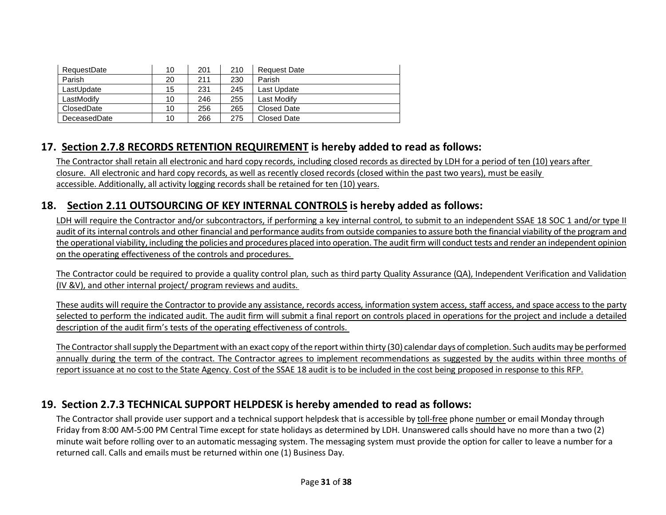| RequestDate  | 10 | 201 | 210 | <b>Request Date</b> |
|--------------|----|-----|-----|---------------------|
| Parish       | 20 | 211 | 230 | Parish              |
| LastUpdate   | 15 | 231 | 245 | Last Update         |
| LastModifv   | 10 | 246 | 255 | Last Modify         |
| ClosedDate   | 10 | 256 | 265 | Closed Date         |
| DeceasedDate | 10 | 266 | 275 | Closed Date         |

## **17. Section 2.7.8 RECORDS RETENTION REQUIREMENT is hereby added to read as follows:**

The Contractor shall retain all electronic and hard copy records, including closed records as directed by LDH for a period of ten (10) years after closure. All electronic and hard copy records, as well as recently closed records (closed within the past two years), must be easily accessible. Additionally, all activity logging records shall be retained for ten (10) years.

## **18. Section 2.11 OUTSOURCING OF KEY INTERNAL CONTROLS is hereby added as follows:**

LDH will require the Contractor and/or subcontractors, if performing a key internal control, to submit to an independent SSAE 18 SOC 1 and/or type II audit of its internal controls and other financial and performance audits from outside companies to assure both the financial viability of the program and the operational viability, including the policies and procedures placed into operation. The audit firm will conduct tests and render an independent opinion on the operating effectiveness of the controls and procedures.

The Contractor could be required to provide a quality control plan, such as third party Quality Assurance (QA), Independent Verification and Validation (IV &V), and other internal project/ program reviews and audits.

These audits will require the Contractor to provide any assistance, records access, information system access, staff access, and space access to the party selected to perform the indicated audit. The audit firm will submit a final report on controls placed in operations for the project and include a detailed description of the audit firm's tests of the operating effectiveness of controls.

The Contractor shall supply the Department with an exact copy of the report within thirty (30) calendar days of completion. Such audits may be performed annually during the term of the contract. The Contractor agrees to implement recommendations as suggested by the audits within three months of report issuance at no cost to the State Agency. Cost of the SSAE 18 audit is to be included in the cost being proposed in response to this RFP.

#### **19. Section 2.7.3 TECHNICAL SUPPORT HELPDESK is hereby amended to read as follows:**

The Contractor shall provide user support and a technical support helpdesk that is accessible by toll-free phone number or email Monday through Friday from 8:00 AM-5:00 PM Central Time except for state holidays as determined by LDH. Unanswered calls should have no more than a two (2) minute wait before rolling over to an automatic messaging system. The messaging system must provide the option for caller to leave a number for a returned call. Calls and emails must be returned within one (1) Business Day.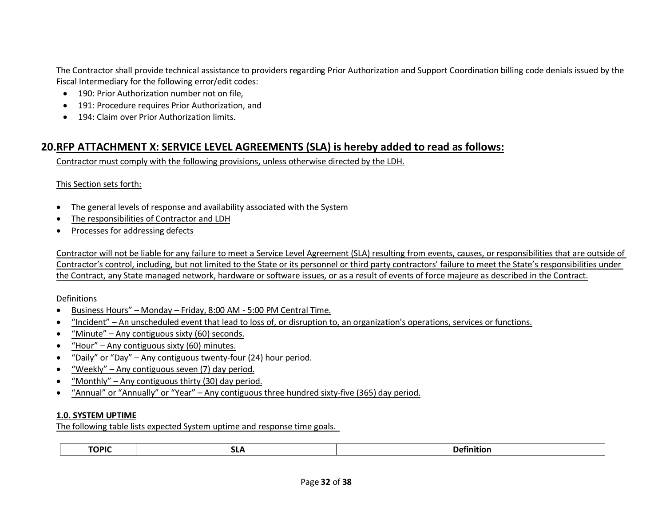The Contractor shall provide technical assistance to providers regarding Prior Authorization and Support Coordination billing code denials issued by the Fiscal Intermediary for the following error/edit codes:

- 190: Prior Authorization number not on file,
- 191: Procedure requires Prior Authorization, and
- 194: Claim over Prior Authorization limits.

## **20.RFP ATTACHMENT X: SERVICE LEVEL AGREEMENTS (SLA) is hereby added to read as follows:**

Contractor must comply with the following provisions, unless otherwise directed by the LDH.

This Section sets forth:

- The general levels of response and availability associated with the System
- The responsibilities of Contractor and LDH
- Processes for addressing defects

Contractor will not be liable for any failure to meet a Service Level Agreement (SLA) resulting from events, causes, or responsibilities that are outside of Contractor's control, including, but not limited to the State or its personnel or third party contractors' failure to meet the State's responsibilities under the Contract, any State managed network, hardware or software issues, or as a result of events of force majeure as described in the Contract.

Definitions

- Business Hours" Monday Friday, 8:00 AM 5:00 PM Central Time.
- "Incident" An unscheduled event that lead to loss of, or disruption to, an organization's operations, services or functions.
- "Minute" Any contiguous sixty (60) seconds.
- "Hour" Any contiguous sixty (60) minutes.
- "Daily" or "Day" Any contiguous twenty-four (24) hour period.
- "Weekly" Any contiguous seven (7) day period.
- "Monthly" Any contiguous thirty (30) day period.
- "Annual" or "Annually" or "Year" Any contiguous three hundred sixty-five (365) day period.

#### **1.0. SYSTEM UPTIME**

The following table lists expected System uptime and response time goals.

| <b>TOPIC</b><br>. .<br>Detinition<br>ᆡ |
|----------------------------------------|
|----------------------------------------|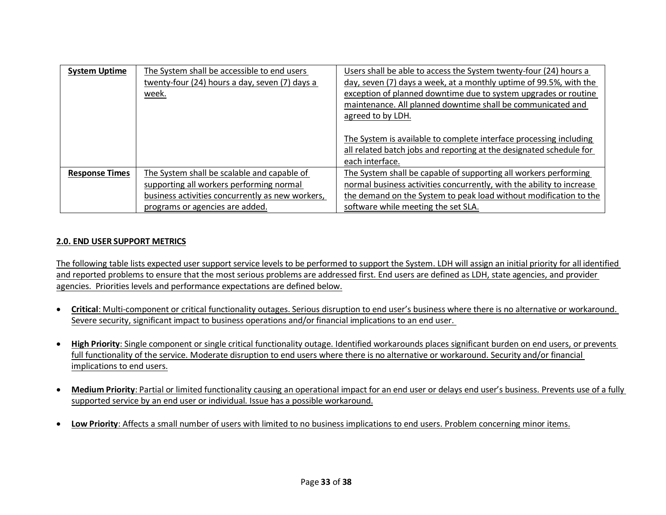| <b>System Uptime</b>  | The System shall be accessible to end users<br>twenty-four (24) hours a day, seven (7) days a<br>week.                                      | Users shall be able to access the System twenty-four (24) hours a<br>day, seven (7) days a week, at a monthly uptime of 99.5%, with the<br>exception of planned downtime due to system upgrades or routine<br>maintenance. All planned downtime shall be communicated and |
|-----------------------|---------------------------------------------------------------------------------------------------------------------------------------------|---------------------------------------------------------------------------------------------------------------------------------------------------------------------------------------------------------------------------------------------------------------------------|
|                       |                                                                                                                                             | agreed to by LDH.<br>The System is available to complete interface processing including<br>all related batch jobs and reporting at the designated schedule for<br>each interface.                                                                                         |
| <b>Response Times</b> | The System shall be scalable and capable of<br>supporting all workers performing normal<br>business activities concurrently as new workers, | The System shall be capable of supporting all workers performing<br>normal business activities concurrently, with the ability to increase<br>the demand on the System to peak load without modification to the                                                            |
|                       | programs or agencies are added.                                                                                                             | software while meeting the set SLA.                                                                                                                                                                                                                                       |

#### **2.0. END USER SUPPORT METRICS**

The following table lists expected user support service levels to be performed to support the System. LDH will assign an initial priority for all identified and reported problems to ensure that the most serious problems are addressed first. End users are defined as LDH, state agencies, and provider agencies. Priorities levels and performance expectations are defined below.

- **Critical**: Multi-component or critical functionality outages. Serious disruption to end user's business where there is no alternative or workaround. Severe security, significant impact to business operations and/or financial implications to an end user.
- **High Priority**: Single component or single critical functionality outage. Identified workarounds places significant burden on end users, or prevents full functionality of the service. Moderate disruption to end users where there is no alternative or workaround. Security and/or financial implications to end users.
- **Medium Priority**: Partial or limited functionality causing an operational impact for an end user or delays end user's business. Prevents use of a fully supported service by an end user or individual. Issue has a possible workaround.
- **Low Priority**: Affects a small number of users with limited to no business implications to end users. Problem concerning minor items.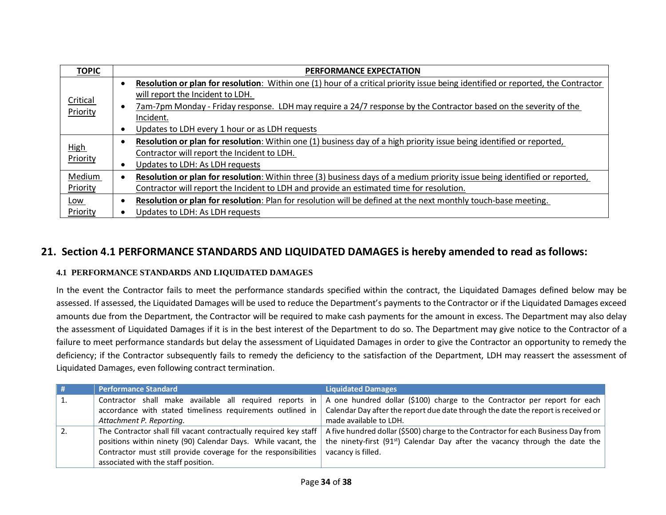| <b>TOPIC</b> | <b>PERFORMANCE EXPECTATION</b>                                                                                                   |  |
|--------------|----------------------------------------------------------------------------------------------------------------------------------|--|
|              | Resolution or plan for resolution: Within one (1) hour of a critical priority issue being identified or reported, the Contractor |  |
| Critical     | will report the Incident to LDH.                                                                                                 |  |
| Priority     | 7am-7pm Monday - Friday response. LDH may require a 24/7 response by the Contractor based on the severity of the<br>- 0          |  |
|              | Incident.                                                                                                                        |  |
|              | Updates to LDH every 1 hour or as LDH requests                                                                                   |  |
|              | Resolution or plan for resolution: Within one (1) business day of a high priority issue being identified or reported,            |  |
| <b>High</b>  | Contractor will report the Incident to LDH.                                                                                      |  |
| Priority     | Updates to LDH: As LDH requests                                                                                                  |  |
| Medium       | Resolution or plan for resolution: Within three (3) business days of a medium priority issue being identified or reported,       |  |
| Priority     | Contractor will report the Incident to LDH and provide an estimated time for resolution.                                         |  |
| Low          | Resolution or plan for resolution: Plan for resolution will be defined at the next monthly touch-base meeting.                   |  |
| Priority     | Updates to LDH: As LDH requests                                                                                                  |  |

## **21. Section 4.1 PERFORMANCE STANDARDS AND LIQUIDATED DAMAGES is hereby amended to read as follows:**

#### **4.1 PERFORMANCE STANDARDS AND LIQUIDATED DAMAGES**

In the event the Contractor fails to meet the performance standards specified within the contract, the Liquidated Damages defined below may be assessed. If assessed, the Liquidated Damages will be used to reduce the Department's payments to the Contractor or if the Liquidated Damages exceed amounts due from the Department, the Contractor will be required to make cash payments for the amount in excess. The Department may also delay the assessment of Liquidated Damages if it is in the best interest of the Department to do so. The Department may give notice to the Contractor of a failure to meet performance standards but delay the assessment of Liquidated Damages in order to give the Contractor an opportunity to remedy the deficiency; if the Contractor subsequently fails to remedy the deficiency to the satisfaction of the Department, LDH may reassert the assessment of Liquidated Damages, even following contract termination.

| # | <b>Performance Standard</b>                                                                                                                                                                                                                  | <b>Liquidated Damages</b>                                                                                                                                                                           |
|---|----------------------------------------------------------------------------------------------------------------------------------------------------------------------------------------------------------------------------------------------|-----------------------------------------------------------------------------------------------------------------------------------------------------------------------------------------------------|
|   | Contractor shall make available all required reports in<br>accordance with stated timeliness requirements outlined in<br>Attachment P. Reporting.                                                                                            | A one hundred dollar (\$100) charge to the Contractor per report for each<br>Calendar Day after the report due date through the date the report is received or<br>made available to LDH.            |
|   | The Contractor shall fill vacant contractually required key staff<br>positions within ninety (90) Calendar Days. While vacant, the<br>Contractor must still provide coverage for the responsibilities<br>associated with the staff position. | A five hundred dollar (\$500) charge to the Contractor for each Business Day from<br>the ninety-first (91 <sup>st</sup> ) Calendar Day after the vacancy through the date the<br>vacancy is filled. |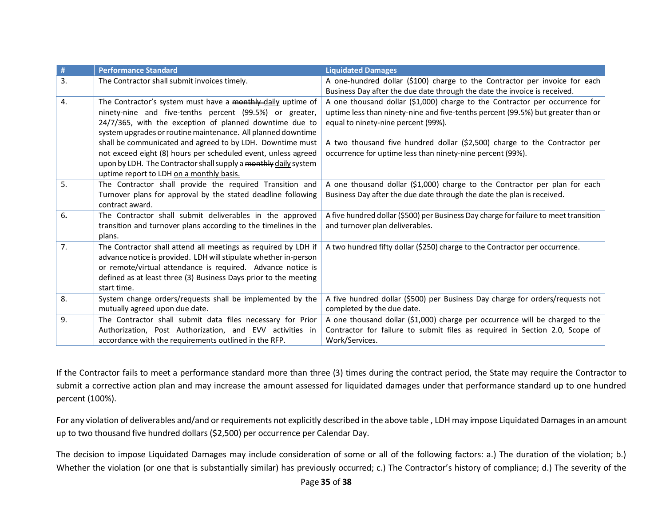| #  | <b>Performance Standard</b>                                                                                                                                                                                                                                                          | <b>Liquidated Damages</b>                                                                                                                                                                              |
|----|--------------------------------------------------------------------------------------------------------------------------------------------------------------------------------------------------------------------------------------------------------------------------------------|--------------------------------------------------------------------------------------------------------------------------------------------------------------------------------------------------------|
| 3. | The Contractor shall submit invoices timely.                                                                                                                                                                                                                                         | A one-hundred dollar (\$100) charge to the Contractor per invoice for each<br>Business Day after the due date through the date the invoice is received.                                                |
| 4. | The Contractor's system must have a monthly-daily uptime of<br>ninety-nine and five-tenths percent (99.5%) or greater,<br>24/7/365, with the exception of planned downtime due to<br>system upgrades or routine maintenance. All planned downtime                                    | A one thousand dollar (\$1,000) charge to the Contractor per occurrence for<br>uptime less than ninety-nine and five-tenths percent (99.5%) but greater than or<br>equal to ninety-nine percent (99%). |
|    | shall be communicated and agreed to by LDH. Downtime must<br>not exceed eight (8) hours per scheduled event, unless agreed<br>upon by LDH. The Contractor shall supply a monthly daily system<br>uptime report to LDH on a monthly basis.                                            | A two thousand five hundred dollar (\$2,500) charge to the Contractor per<br>occurrence for uptime less than ninety-nine percent (99%).                                                                |
| 5. | The Contractor shall provide the required Transition and<br>Turnover plans for approval by the stated deadline following<br>contract award.                                                                                                                                          | A one thousand dollar (\$1,000) charge to the Contractor per plan for each<br>Business Day after the due date through the date the plan is received.                                                   |
| 6. | The Contractor shall submit deliverables in the approved<br>transition and turnover plans according to the timelines in the<br>plans.                                                                                                                                                | A five hundred dollar (\$500) per Business Day charge for failure to meet transition<br>and turnover plan deliverables.                                                                                |
| 7. | The Contractor shall attend all meetings as required by LDH if<br>advance notice is provided. LDH will stipulate whether in-person<br>or remote/virtual attendance is required. Advance notice is<br>defined as at least three (3) Business Days prior to the meeting<br>start time. | A two hundred fifty dollar (\$250) charge to the Contractor per occurrence.                                                                                                                            |
| 8. | System change orders/requests shall be implemented by the<br>mutually agreed upon due date.                                                                                                                                                                                          | A five hundred dollar (\$500) per Business Day charge for orders/requests not<br>completed by the due date.                                                                                            |
| 9. | The Contractor shall submit data files necessary for Prior<br>Authorization, Post Authorization, and EVV activities in<br>accordance with the requirements outlined in the RFP.                                                                                                      | A one thousand dollar (\$1,000) charge per occurrence will be charged to the<br>Contractor for failure to submit files as required in Section 2.0, Scope of<br>Work/Services.                          |

If the Contractor fails to meet a performance standard more than three (3) times during the contract period, the State may require the Contractor to submit a corrective action plan and may increase the amount assessed for liquidated damages under that performance standard up to one hundred percent (100%).

For any violation of deliverables and/and or requirements not explicitly described in the above table , LDH may impose Liquidated Damages in an amount up to two thousand five hundred dollars (\$2,500) per occurrence per Calendar Day.

The decision to impose Liquidated Damages may include consideration of some or all of the following factors: a.) The duration of the violation; b.) Whether the violation (or one that is substantially similar) has previously occurred; c.) The Contractor's history of compliance; d.) The severity of the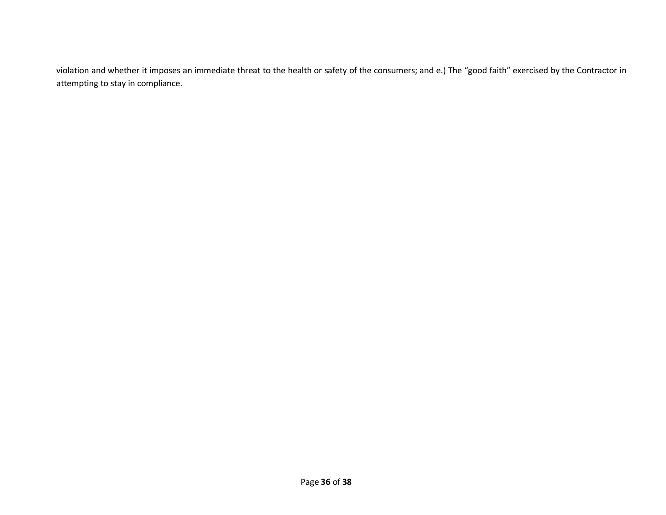violation and whether it imposes an immediate threat to the health or safety of the consumers; and e.) The "good faith" exercised by the Contractor in attempting to stay in compliance.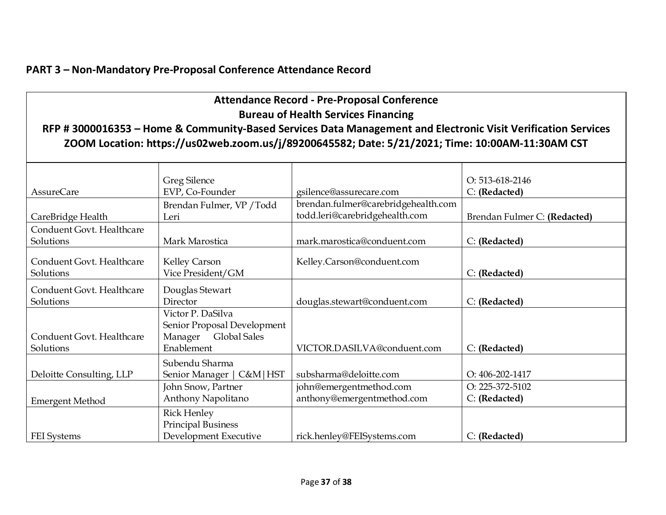## **PART 3 – Non-Mandatory Pre-Proposal Conference Attendance Record**

|                                            |                             | <b>Attendance Record - Pre-Proposal Conference</b>                                                            |                              |  |
|--------------------------------------------|-----------------------------|---------------------------------------------------------------------------------------------------------------|------------------------------|--|
| <b>Bureau of Health Services Financing</b> |                             |                                                                                                               |                              |  |
|                                            |                             | RFP # 3000016353 - Home & Community-Based Services Data Management and Electronic Visit Verification Services |                              |  |
|                                            |                             | ZOOM Location: https://us02web.zoom.us/j/89200645582; Date: 5/21/2021; Time: 10:00AM-11:30AM CST              |                              |  |
|                                            |                             |                                                                                                               |                              |  |
|                                            | <b>Greg Silence</b>         |                                                                                                               | O: 513-618-2146              |  |
| <b>AssureCare</b>                          | EVP, Co-Founder             | gsilence@assurecare.com                                                                                       | C: (Redacted)                |  |
|                                            | Brendan Fulmer, VP / Todd   | brendan.fulmer@carebridgehealth.com                                                                           |                              |  |
| CareBridge Health                          | Leri                        | todd.leri@carebridgehealth.com                                                                                | Brendan Fulmer C: (Redacted) |  |
| Conduent Govt. Healthcare                  |                             |                                                                                                               |                              |  |
| Solutions                                  | Mark Marostica              | mark.marostica@conduent.com                                                                                   | C: (Redacted)                |  |
| Conduent Govt. Healthcare                  | Kelley Carson               | Kelley.Carson@conduent.com                                                                                    |                              |  |
| Solutions                                  | Vice President/GM           |                                                                                                               | C: (Redacted)                |  |
| Conduent Govt. Healthcare                  |                             |                                                                                                               |                              |  |
| Solutions                                  | Douglas Stewart<br>Director | douglas.stewart@conduent.com                                                                                  | C: (Redacted)                |  |
|                                            | Victor P. DaSilva           |                                                                                                               |                              |  |
|                                            | Senior Proposal Development |                                                                                                               |                              |  |
| Conduent Govt. Healthcare                  | Global Sales<br>Manager     |                                                                                                               |                              |  |
| Solutions                                  | Enablement                  | VICTOR.DASILVA@conduent.com                                                                                   | C: (Redacted)                |  |
|                                            | Subendu Sharma              |                                                                                                               |                              |  |
| Deloitte Consulting, LLP                   | Senior Manager   C&M   HST  | subsharma@deloitte.com                                                                                        | O: 406-202-1417              |  |
|                                            | John Snow, Partner          | john@emergentmethod.com                                                                                       | O: 225-372-5102              |  |
| <b>Emergent Method</b>                     | Anthony Napolitano          | anthony@emergentmethod.com                                                                                    | C: (Redacted)                |  |
|                                            | <b>Rick Henley</b>          |                                                                                                               |                              |  |
|                                            | <b>Principal Business</b>   |                                                                                                               |                              |  |
| FEI Systems                                | Development Executive       | rick.henley@FEISystems.com                                                                                    | C: (Redacted)                |  |